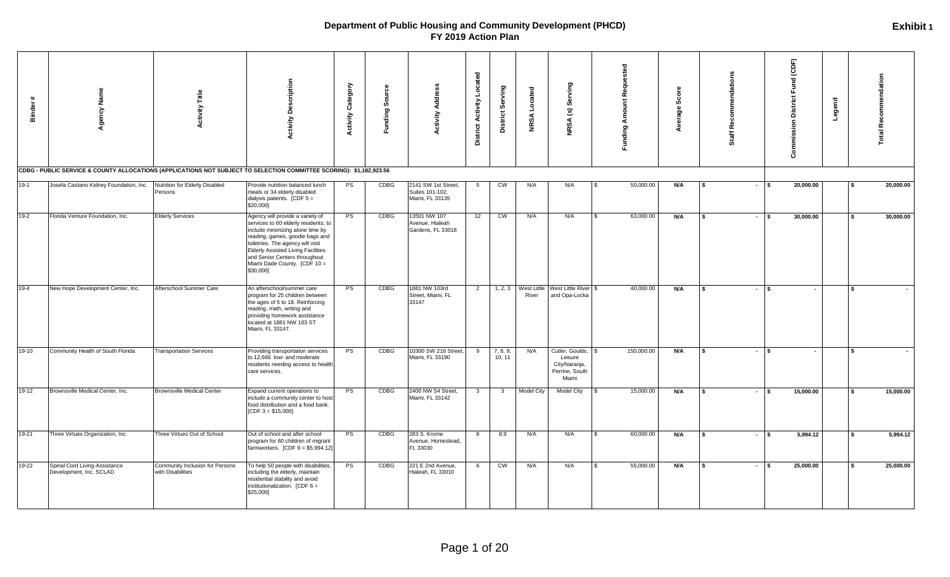| #<br><b>Binder</b> | Agency Name<br>CDBG - PUBLIC SERVICE & COUNTY ALLOCATIONS (APPLICATIONS NOT SUBJECT TO SELECTION COMMITTEE SCORING): \$1,182,923.56 | Title<br>ctivity                                     | <b>Activity Description</b>                                                                                                                                                                                                                                                                                     | Category<br><b>Activity</b> | Source<br>Funding: | Address<br>Activity                                       | Located<br><b>District Activity</b> | District Serving        | NRSA Located      | NRSA (s) Serving                                                          | <b>Funding Amount Requested</b> | Score<br>Average |      | mmendations<br>۹<br>Staff |        | Fund (CDF)<br><b>Commission District</b> | Legend |      | <b>Total Recommendation</b> |
|--------------------|-------------------------------------------------------------------------------------------------------------------------------------|------------------------------------------------------|-----------------------------------------------------------------------------------------------------------------------------------------------------------------------------------------------------------------------------------------------------------------------------------------------------------------|-----------------------------|--------------------|-----------------------------------------------------------|-------------------------------------|-------------------------|-------------------|---------------------------------------------------------------------------|---------------------------------|------------------|------|---------------------------|--------|------------------------------------------|--------|------|-----------------------------|
| $19-1$             | Josefa Castano Kidney Foundation, Inc.                                                                                              | Nutrition for Elderly Disabled<br>Persons            | Provide nutrition balanced lunch<br>meals or 34 elderly disabled<br>dialysis patients. [CDF $5 =$<br>\$20,000]                                                                                                                                                                                                  | PS                          | CDBG               | 2141 SW 1st Street,<br>Suites 101-102,<br>Miami, FL 33135 | 5                                   | CW                      | N/A               | N/A                                                                       | 50,000.00                       | N/A              | l \$ | $-1$ s                    |        | 20,000.00                                |        |      | 20,000.00                   |
| $19-2$             | Florida Venture Foundation, Inc.                                                                                                    | <b>Elderly Services</b>                              | Agency will provide a variety of<br>services to 60 elderly residents; to<br>include minimizing alone time by<br>reading, games, goodie bags and<br>toiletries. The agency will visit<br><b>Elderly Assisted Living Facilities</b><br>and Senior Centers throughout<br>Miami Dade County. [CDF 10 =<br>\$30,000] | PS                          | CDBG               | 13501 NW 107<br>Avenue, Hialeah<br>Gardens, FL 33018      | 12                                  | CW                      | N/A               | N/A                                                                       | 63,000.00<br>$\mathbf{\hat{S}}$ | N/A              | s.   | $-1$ s                    |        | 30,000.00                                |        |      | 30,000.00                   |
| $19-4$             | New Hope Development Center, Inc.                                                                                                   | Afterschool Summer Care                              | An afterschool/summer care<br>program for 25 children between<br>the ages of 5 to 18. Reinforcing<br>reading, math, writing and<br>providing homework assistance<br>located at 1881 NW 103 ST<br>Miami, FL 33147.                                                                                               | <b>PS</b>                   | <b>CDBG</b>        | 1881 NW 103rd<br>Street, Miami, FL<br>33147               | 2                                   | 1, 2, 3                 | River             | West Little West Little River \$<br>and Opa-Locka                         | 40,000.00                       | N/A              | \$   |                           | $-1$ s | $\sim$                                   |        | l \$ |                             |
| 19-10              | Community Health of South Florida                                                                                                   | <b>Transportation Services</b>                       | Providing transportation services<br>to 12,666 low- and moderate<br>residents needing access to health<br>care services.                                                                                                                                                                                        | <b>PS</b>                   | CDBG               | 10300 SW 216 Street,<br>Miami, FL 33190                   | 9                                   | 7, 8, 9,<br>10, 11      | N/A               | Cutler, Goulds, \$<br>Leisure<br>City/Naranja,<br>Perrine, South<br>Miami | 150,000.00                      | N/A              | l s  |                           | $-1$ s | $\sim$                                   |        | l S  |                             |
| 19-12              | Brownsville Medical Center, Inc.                                                                                                    | <b>Brownsville Medical Center</b>                    | Expand current operations to<br>include a community center to host<br>food distribution and a food bank.<br>$[CDF 3 = $15,000]$                                                                                                                                                                                 | <b>PS</b>                   | CDBG               | 2400 NW 54 Street,<br>Miami, FL 33142                     | $\mathbf{3}$                        | $\overline{\mathbf{3}}$ | <b>Model City</b> | Model City                                                                | 15,000.00                       | N/A              | l S  |                           | $-1$ s | 15,000.00                                |        |      | 15,000.00                   |
| 19-21              | Three Virtues Organization, Inc.                                                                                                    | Three Virtues Out of School                          | Out of school and after school<br>program for 60 children of migrant<br>farmworkers. $[CDF 9 = $5,994.12]$                                                                                                                                                                                                      | PS                          | <b>CDBG</b>        | 283 S. Krome<br>Avenue, Homestead,<br>FL 33030            | 8                                   | 8,9                     | N/A               | N/A                                                                       | 60,000.00<br>$\mathbf{s}$       | N/A              | s.   | $-1$ s                    |        | 5,994.12                                 |        |      | 5,994.12                    |
| 19-22              | Spinal Cord Living-Assistance<br>Development, Inc. SCLAD                                                                            | Community Inclusion for Persons<br>with Disabilities | To help 50 people with disabilities<br>including the elderly, maintain<br>residential stability and avoid<br>institutionalization. [CDF 6 =<br>\$25,000]                                                                                                                                                        | PS                          | CDBG               | 221 E 2nd Avenue,<br>Hialeah, FL 33010                    | 6                                   | CW                      | N/A               | N/A                                                                       | 55,000.00                       | N/A              |      | $\sim$                    |        | 25,000.00                                |        |      | 25,000.00                   |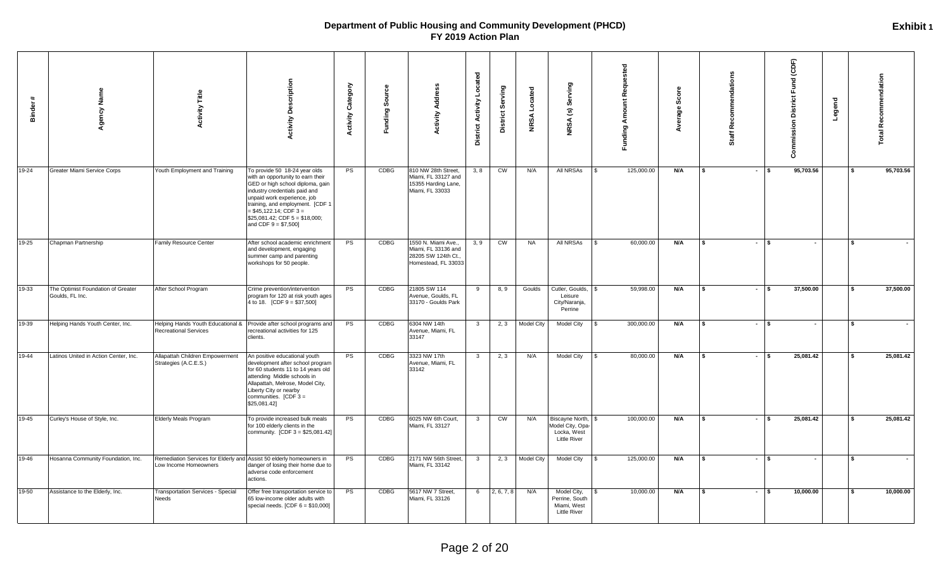| $\ddot{\phantom{1}}$<br><b>Binder</b> | gency Name                                            | <b>Activity Title</b>                                                                         | <b>Activity Description</b>                                                                                                                                                                                                                                                                            | <b>Activity Category</b> | ပ္ပီ<br>Sour<br>Funding: | Address<br><b>Activity</b>                                                               | <b>District Activity Located</b> | District Serving       | Located<br><b>NRSA</b> | Serving<br>$\widehat{\mathbf{c}}$<br><b>NRSA</b>                          | <b>Funding Amount Requested</b> | Scor<br>erage | mendations<br>Recom<br>Staff |        | (CDF)<br>Fund<br><b>District</b><br>Commission | Legend | <b>Total Recommendation</b> |           |
|---------------------------------------|-------------------------------------------------------|-----------------------------------------------------------------------------------------------|--------------------------------------------------------------------------------------------------------------------------------------------------------------------------------------------------------------------------------------------------------------------------------------------------------|--------------------------|--------------------------|------------------------------------------------------------------------------------------|----------------------------------|------------------------|------------------------|---------------------------------------------------------------------------|---------------------------------|---------------|------------------------------|--------|------------------------------------------------|--------|-----------------------------|-----------|
| 19-24                                 | Greater Miami Service Corps                           | Youth Employment and Training                                                                 | To provide 50 18-24 year olds<br>with an opportunity to earn their<br>GED or high school diploma, gain<br>industry credentials paid and<br>unpaid work experience, job<br>training, and employment. [CDF 1<br>$= $45,122.14$ ; CDF 3 =<br>$$25,081.42$ ; CDF $5 = $18,000$ ;<br>and CDF $9 = $7,500$ ] | PS                       | CDBG                     | 810 NW 28th Street,<br>Miami, FL 33127 and<br>15355 Harding Lane,<br>Miami, FL 33033     | 3, 8                             | CW                     | N/A                    | All NRSAs                                                                 | 125,000.00                      | N/A           | s.                           | $-1$ s | 95,703.56                                      |        | \$                          | 95,703.56 |
| $19 - 25$                             | Chapman Partnership                                   | Family Resource Center                                                                        | After school academic enrichment<br>and development, engaging<br>summer camp and parenting<br>workshops for 50 people.                                                                                                                                                                                 | PS                       | CDBG                     | 1550 N. Miami Ave.,<br>Miami, FL 33136 and<br>28205 SW 124th Ct.,<br>Homestead, FL 33033 | 3, 9                             | $\overline{\text{cm}}$ | NA                     | All NRSAs                                                                 | 60,000.00                       | N/A           | \$                           | $\sim$ | l s                                            |        | \$                          |           |
| 19-33                                 | The Optimist Foundation of Greater<br>Goulds, FL Inc. | After School Program                                                                          | Crime prevention/intervention<br>program for 120 at risk youth ages<br>4 to 18. [CDF $9 = $37,500$ ]                                                                                                                                                                                                   | <b>PS</b>                | CDBG                     | 21805 SW 114<br>Avenue, Goulds, FL<br>33170 - Goulds Park                                | - 9                              | 8, 9                   | Goulds                 | Cutler, Goulds,<br>Leisure<br>City/Naranja,<br>Perrine                    | 59,998.00                       | N/A           |                              | $\sim$ | 37,500.00                                      |        |                             | 37,500.00 |
| 19-39                                 | Helping Hands Youth Center, Inc.                      | Helping Hands Youth Educational &<br><b>Recreational Services</b>                             | Provide after school programs and<br>recreational activities for 125<br>clients.                                                                                                                                                                                                                       | <b>PS</b>                | CDBG                     | 6304 NW 14th<br>Avenue, Miami, FL<br>33147                                               | $\mathbf{3}$                     | 2, 3                   | <b>Model City</b>      | Model City                                                                | 300,000.00                      | N/A           |                              | $-1$ s | $\blacksquare$                                 |        | - \$                        |           |
| $19 - 44$                             | Latinos United in Action Center, Inc.                 | Allapattah Children Empowerment<br>Strategies (A.C.E.S.)                                      | An positive educational youth<br>development after school program<br>for 60 students 11 to 14 years old<br>attending Middle schools in<br>Allapattah, Melrose, Model City,<br>Liberty City or nearby<br>communities. $[CDF 3 =$<br>\$25,081.42]                                                        | PS                       | <b>CDBG</b>              | 3323 NW 17th<br>Avenue, Miami, FL<br>33142                                               | $\mathbf{3}$                     | 2, 3                   | N/A                    | Model City                                                                | 80,000.00                       | N/A           |                              | $\sim$ | 25,081.42                                      |        |                             | 25,081.42 |
| 19-45                                 | Curley's House of Style, Inc.                         | <b>Elderly Meals Program</b>                                                                  | To provide increased bulk meals<br>for 100 elderly clients in the<br>community. [CDF 3 = \$25,081.42]                                                                                                                                                                                                  | <b>PS</b>                | CDBG                     | 6025 NW 6th Court,<br>Miami, FL 33127                                                    | $\mathbf{3}$                     | CW                     | N/A                    | Biscayne North,<br>Model City, Opa-<br>Locka, West<br><b>Little River</b> | 100,000.00                      | N/A           |                              | $\sim$ | 25,081.42                                      |        |                             | 25,081.42 |
| 19-46                                 | Hosanna Community Foundation, Inc.                    | Remediation Services for Elderly and Assist 50 elderly homeowners in<br>Low Income Homeowners | danger of losing their home due to<br>adverse code enforcement<br>actions.                                                                                                                                                                                                                             | <b>PS</b>                | CDBG                     | 2171 NW 56th Street,<br>Miami, FL 33142                                                  | $\overline{\mathbf{3}}$          |                        | 2, 3 Model City        | Model City                                                                | 125,000.00                      | <b>N/A</b>    | \$                           | $-1$ s | $\blacksquare$                                 |        | \$                          |           |
| 19-50                                 | Assistance to the Elderly, Inc.                       | <b>Transportation Services - Special</b><br>Needs                                             | Offer free transportation service to<br>65 low-income older adults with<br>special needs. $[CDF 6 = $10,000]$                                                                                                                                                                                          | <b>PS</b>                | CDBG                     | 5617 NW 7 Street,<br>Miami, FL 33126                                                     | 6                                | 2, 6, 7, 8             | N/A                    | Model City,<br>Perrine, South<br>Miami, West<br><b>Little River</b>       | 10,000.00                       | N/A           |                              | $\sim$ | 10,000.00<br>l s                               |        | -\$                         | 10,000.00 |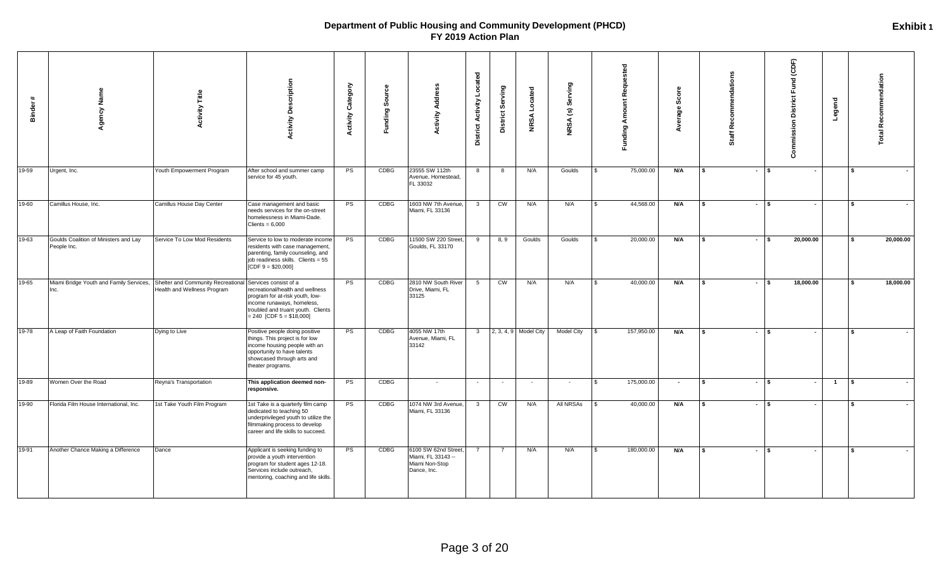| $\ddot{}$<br>Binder | Name<br>Agency                                                                     | <b>Activity Title</b>        | <b>Activity Description</b>                                                                                                                                                                    | Category<br><b>Activity</b> | 5<br>န္တိ<br>Funding | <b>Activity Address</b>                                                     | <b>District Activity Located</b> | District Serving       | Located<br><b>NRSA</b> | Serving<br>$\widehat{\mathbf{c}}$<br><b>NRSA</b> | <b>Funding Amount Requested</b> | Score<br>Average: | Staff Recommendations |         | Commission District Fund (CDF) | Legend         | <b>Total Recommendation</b>     |
|---------------------|------------------------------------------------------------------------------------|------------------------------|------------------------------------------------------------------------------------------------------------------------------------------------------------------------------------------------|-----------------------------|----------------------|-----------------------------------------------------------------------------|----------------------------------|------------------------|------------------------|--------------------------------------------------|---------------------------------|-------------------|-----------------------|---------|--------------------------------|----------------|---------------------------------|
| 19-59               | Urgent, Inc.                                                                       | Youth Empowerment Program    | After school and summer camp<br>service for 45 youth.                                                                                                                                          | <b>PS</b>                   | CDBG                 | 23555 SW 112th<br>Avenue, Homestead,<br>FL 33032                            | 8                                | 8                      | N/A                    | Goulds                                           | 75,000.00<br>$\mathbf{s}$       | N/A               | l s                   | $-1$ s  | $\overline{\phantom{a}}$       |                | l \$                            |
| 19-60               | Camillus House, Inc.                                                               | Camillus House Day Center    | Case management and basic<br>needs services for the on-street<br>homelessness in Miami-Dade.<br>Clients = $6,000$                                                                              | <b>PS</b>                   | CDBG                 | 1603 NW 7th Avenue,<br>Miami, FL 33136                                      | $\overline{\mathbf{3}}$          | CW                     | N/A                    | N/A                                              | 44,568.00<br>$\mathcal{R}$      | <b>N/A</b>        | l S                   | $-1$ \$ | $\overline{\phantom{a}}$       |                | l \$                            |
| $19-63$             | Goulds Coalition of Ministers and Lay<br>People Inc.                               | Service To Low Mod Residents | Service to low to moderate income<br>residents with case management,<br>parenting, family counseling, and<br>job readiness skills. Clients = 55<br>[CDF $9 = $20,000$ ]                        | <b>PS</b>                   | CDBG                 | 11500 SW 220 Street,<br>Goulds, FL 33170                                    | 9                                | 8, 9                   | Goulds                 | Goulds                                           | 20,000.00<br>$\mathbf{\hat{S}}$ | N/A               | l S                   | $-15$   | 20,000.00                      |                | 20,000.00<br>l \$               |
| 19-65               | Miami Bridge Youth and Family Services, Shelter and Community Recreational<br>Inc. | Health and Wellness Program  | Services consist of a<br>recreational/health and wellness<br>program for at-risk youth, low-<br>income runaways, homeless,<br>troubled and truant youth. Clients<br>$= 240$ [CDF 5 = \$18,000] | PS                          | <b>CDBG</b>          | 2810 NW South River<br>Drive, Miami, FL<br>33125                            | 5                                | $\overline{\text{cm}}$ | N/A                    | N/A                                              | 40,000.00<br>-S                 | N/A               | l \$                  | $-1$ s  | 18,000.00                      |                | 18,000.00<br>l \$               |
| 19-78               | A Leap of Faith Foundation                                                         | Dying to Live                | Positive people doing positive<br>things. This project is for low<br>income housing people with an<br>opportunity to have talents<br>showcased through arts and<br>theater programs.           | <b>PS</b>                   | CDBG                 | 4055 NW 17th<br>Avenue, Miami, FL<br>33142                                  | $\overline{\mathbf{3}}$          |                        | 2, 3, 4, 9 Model City  | Model City                                       | 157,950.00<br>$\mathbf{s}$      | N/A               | S.                    | $ s$    | $\overline{\phantom{a}}$       |                | $\mathbf{s}$<br>$\sim$          |
| 19-89               | Women Over the Road                                                                | Reyna's Transportation       | This application deemed non-<br>responsive.                                                                                                                                                    | PS                          | CDBG                 | $\sim$                                                                      | $\sim$                           | $\sim$                 |                        | $\sim$                                           | 175,000.00<br>-S                | $\sim$            | l \$                  | $-1$ s  | $\overline{\phantom{a}}$       | $\overline{1}$ | l s<br>$\overline{\phantom{a}}$ |
| 19-90               | Florida Film House International, Inc.                                             | 1st Take Youth Film Program  | 1st Take is a quarterly film camp<br>dedicated to teaching 50<br>underprivileged youth to utilize the<br>filmmaking process to develop<br>career and life skills to succeed.                   | <b>PS</b>                   | CDBG                 | 1074 NW 3rd Avenue,<br>Miami, FL 33136                                      | $\overline{\mathbf{3}}$          | CW                     | N/A                    | All NRSAs                                        | 40,000.00<br>$\mathbf{s}$       | N/A               | l \$                  | $-1$ \$ | $\sim$                         |                | <b>S</b><br>$\sim$              |
| 19-91               | Another Chance Making a Difference                                                 | Dance                        | Applicant is seeking funding to<br>provide a youth intervention<br>program for student ages 12-18.<br>Services include outreach,<br>mentoring, coaching and life skills.                       | <b>PS</b>                   | CDBG                 | 6100 SW 62nd Street,<br>Miami, FL 33143 --<br>Miami Non-Stop<br>Dance, Inc. | $\overline{7}$                   | $\overline{7}$         | N/A                    | N/A                                              | 180,000.00<br>- \$              | N/A               | s.                    | $-1$ s  |                                |                | l \$<br>$\sim$                  |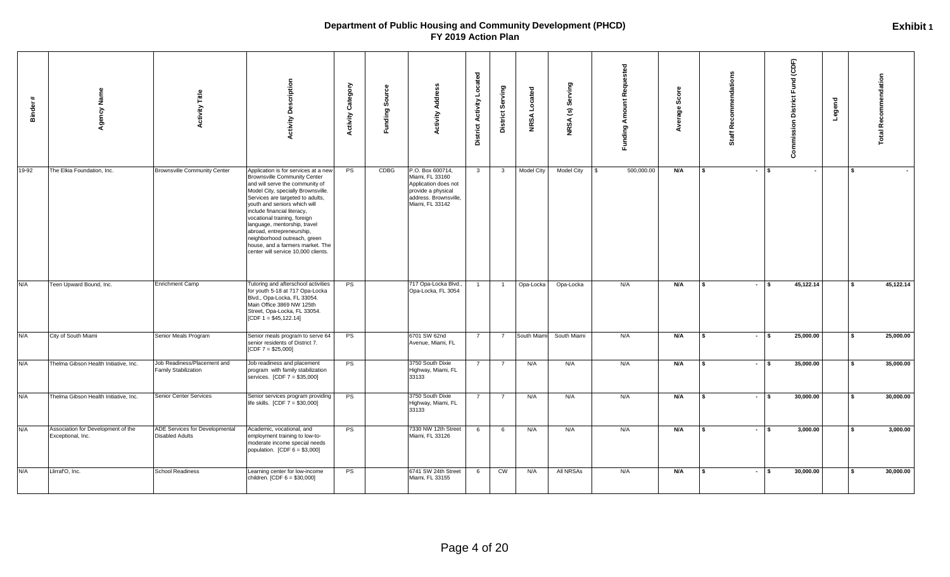| $\ddot{}$<br><b>Binder</b> | Agency Name                                             | <b>Activity Title</b>                                      | <b>Activity Description</b>                                                                                                                                                                                                                                                                                                                                                                                                                                     | Category<br><b>Activity</b> | Sour<br>Funding | <b>Activity Address</b>                                                                                                       | <b>District Activity Located</b> | District Serving        | Located<br><b>NRSA</b> | Serving<br>$\widehat{\mathbf{c}}$<br><b>NRSA</b> | <b>Funding Amount Requested</b> | ဖိ<br>age | dation<br>$\circ$<br>œ<br>ŏ. | Commission District Fund (CDF) | Legend |      | <b>Total Recommendation</b> |
|----------------------------|---------------------------------------------------------|------------------------------------------------------------|-----------------------------------------------------------------------------------------------------------------------------------------------------------------------------------------------------------------------------------------------------------------------------------------------------------------------------------------------------------------------------------------------------------------------------------------------------------------|-----------------------------|-----------------|-------------------------------------------------------------------------------------------------------------------------------|----------------------------------|-------------------------|------------------------|--------------------------------------------------|---------------------------------|-----------|------------------------------|--------------------------------|--------|------|-----------------------------|
| 19-92                      | The Elkia Foundation, Inc.                              | <b>Brownsville Community Center</b>                        | Application is for services at a new<br><b>Brownsville Community Center</b><br>and will serve the community of<br>Model City, specially Brownsville.<br>Services are targeted to adults,<br>youth and seniors which will<br>include financial literacy,<br>vocational training, foreign<br>language, mentorship, travel<br>abroad, entrepreneurship,<br>neighborhood outreach, green<br>house, and a farmers market. The<br>center will service 10,000 clients. | PS                          | CDBG            | P.O. Box 600714,<br>Miami, FL 33160<br>Application does not<br>provide a physical<br>address. Brownsville,<br>Miami, FL 33142 | $\overline{\mathbf{3}}$          | $\overline{\mathbf{3}}$ | <b>Model City</b>      | <b>Model City</b>                                | 500,000.00<br><b>S</b>          | N/A       | \$                           | $-1$ \$<br>$\sim$              |        | l \$ |                             |
| N/A                        | Teen Upward Bound, Inc.                                 | Enrichment Camp                                            | Tutoring and afterschool activities<br>for youth 5-18 at 717 Opa-Locka<br>Blvd., Opa-Locka, FL 33054.<br>Main Office 3869 NW 125th<br>Street, Opa-Locka, FL 33054.<br>[CDF $1 = $45,122.14$ ]                                                                                                                                                                                                                                                                   | <b>PS</b>                   |                 | 717 Opa-Locka Blvd.,<br>Opa-Locka, FL 3054                                                                                    | $\overline{1}$                   | $\overline{1}$          | Opa-Locka              | Opa-Locka                                        | N/A                             | N/A       | s.                           | 45,122.14<br>$-1$ \$           |        | l s  | 45,122.14                   |
| N/A                        | City of South Miami                                     | Senior Meals Program                                       | Senior meals program to serve 64<br>senior residents of District 7.<br>$[CDF 7 = $25,000]$                                                                                                                                                                                                                                                                                                                                                                      | <b>PS</b>                   |                 | 6701 SW 62nd<br>Avenue, Miami, FL                                                                                             | $\overline{7}$                   | $\overline{7}$          | South Miami            | South Miami                                      | N/A                             | N/A       | s.<br>$\sim$                 | 25,000.00<br>-\$               |        |      | 25,000.00                   |
| N/A                        | Thelma Gibson Health Initiative, Inc.                   | Job Readiness/Placement and<br><b>Family Stabilization</b> | Job readiness and placement<br>program with family stabilization<br>services. [CDF 7 = \$35,000]                                                                                                                                                                                                                                                                                                                                                                | PS                          |                 | 3750 South Dixie<br>Highway, Miami, FL<br>33133                                                                               |                                  | - 7                     | N/A                    | N/A                                              | N/A                             | N/A       | s.                           | 35,000.00<br>$-1$ s            |        | l s  | 35,000.00                   |
| N/A                        | Thelma Gibson Health Initiative, Inc.                   | Senior Center Services                                     | Senior services program providing<br>life skills. $[CDF 7 = $30,000]$                                                                                                                                                                                                                                                                                                                                                                                           | PS                          |                 | 3750 South Dixie<br>Highway, Miami, FL<br>33133                                                                               | $\overline{7}$                   | $\overline{7}$          | N/A                    | N/A                                              | N/A                             | N/A       | $\sim$<br>Ŝ.                 | 30,000.00<br>l s               |        |      | 30,000.00                   |
| N/A                        | Association for Development of the<br>Exceptional, Inc. | ADE Services for Developmental<br><b>Disabled Adults</b>   | Academic, vocational, and<br>employment training to low-to-<br>moderate income special needs<br>population. $[CDF 6 = $3,000]$                                                                                                                                                                                                                                                                                                                                  | <b>PS</b>                   |                 | 7330 NW 12th Street<br>Miami, FL 33126                                                                                        | 6                                | 6                       | N/A                    | N/A                                              | N/A                             | N/A       | s.<br>$\sim$                 | s.<br>3,000.00                 |        |      | 3,000.00                    |
| N/A                        | Llirraf'O, Inc.                                         | <b>School Readiness</b>                                    | Learning center for low-income<br>children. [CDF 6 = \$30,000]                                                                                                                                                                                                                                                                                                                                                                                                  | <b>PS</b>                   |                 | 6741 SW 24th Street<br>Miami, FL 33155                                                                                        | 6                                | CW                      | N/A                    | All NRSAs                                        | N/A                             | N/A       | \$                           | 30,000.00<br>$-1$ \$           |        | l \$ | 30,000.00                   |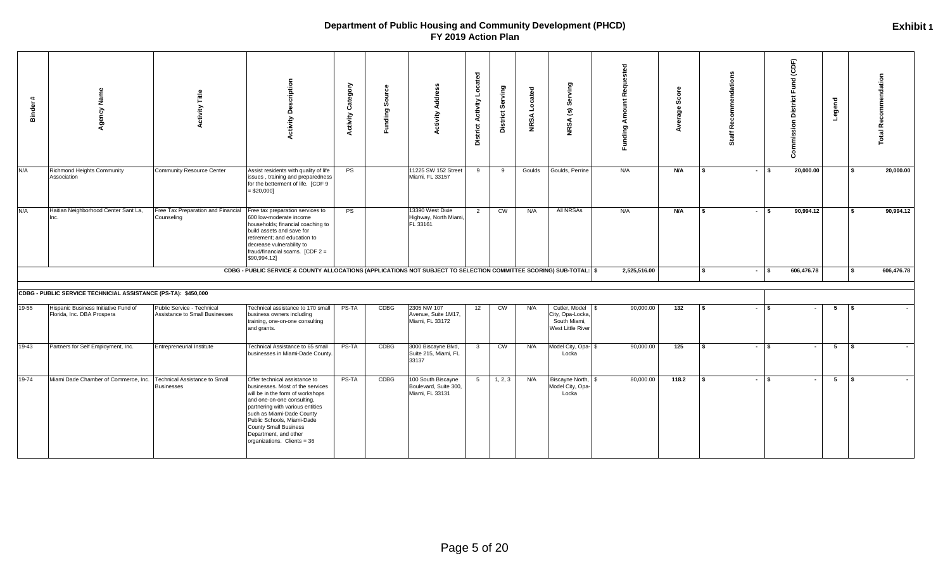| **<br><b>Binder</b> | Agency Name                                                        | Title<br>ctivity                                             | <b>Activity Description</b>                                                                                                                                                                                                                                                                                                | Category<br><b>Activity</b> | ల<br>Б<br>န္တ<br>ರಾ<br><b>Funding</b> | Address<br><b>Activity</b>                                     | Located<br>Activity<br>District | District Serving | Located<br><b>NRSA</b> | ying<br>Šēr<br>$\mathbf{G}$<br><b>NRSA</b>                                | Funding Amount Requested | Ф<br>δ<br>မ္တီ<br>Average |              | S.<br>Recommendation<br>Staff |        | Fund (CDF)<br><b>District</b><br>Commission | Legend      |          | ation<br>Recommend<br>otal |
|---------------------|--------------------------------------------------------------------|--------------------------------------------------------------|----------------------------------------------------------------------------------------------------------------------------------------------------------------------------------------------------------------------------------------------------------------------------------------------------------------------------|-----------------------------|---------------------------------------|----------------------------------------------------------------|---------------------------------|------------------|------------------------|---------------------------------------------------------------------------|--------------------------|---------------------------|--------------|-------------------------------|--------|---------------------------------------------|-------------|----------|----------------------------|
| N/A                 | Richmond Heights Community<br>Association                          | Community Resource Center                                    | Assist residents with quality of life<br>issues, training and preparedness<br>for the betterment of life. [CDF 9<br>$= $20,000]$                                                                                                                                                                                           | PS                          |                                       | 11225 SW 152 Street<br>Miami, FL 33157                         | 9                               | 9                | Goulds                 | Goulds, Perrine                                                           | N/A                      | N/A                       | l \$         | $\sim$                        | Ŝ.     | 20,000.00                                   |             | \$       | 20,000.00                  |
| N/A                 | Haitian Neighborhood Center Sant La,<br>Inc.                       | Free Tax Preparation and Financial<br>Counseling             | Free tax preparation services to<br>600 low-moderate income<br>households; financial coaching to<br>build assets and save for<br>retirement; and education to<br>decrease vulnerability to<br>fraud/financial scams. [CDF 2 =<br>\$90,994.12]                                                                              | PS                          |                                       | 13390 West Dixie<br>Highway, North Miami,<br>FL 33161          | $\overline{2}$                  | CW               | N/A                    | <b>All NRSAs</b>                                                          | N/A                      | N/A                       | l S          | $\sim$                        | \$     | 90,994.12                                   |             | l \$     | 90,994.12                  |
|                     |                                                                    |                                                              | CDBG - PUBLIC SERVICE & COUNTY ALLOCATIONS (APPLICATIONS NOT SUBJECT TO SELECTION COMMITTEE SCORING) SUB-TOTAL:   \$                                                                                                                                                                                                       |                             |                                       |                                                                |                                 |                  |                        |                                                                           | 2,525,516.00             |                           | - \$         | $\sim$                        | \$     | 606,476.78                                  |             | <b>S</b> | 606,476.78                 |
|                     | CDBG - PUBLIC SERVICE TECHNICIAL ASSISTANCE (PS-TA): \$450,000     |                                                              |                                                                                                                                                                                                                                                                                                                            |                             |                                       |                                                                |                                 |                  |                        |                                                                           |                          |                           |              |                               |        |                                             |             |          |                            |
| $19 - 55$           | Hispanic Business Initiative Fund of<br>Florida, Inc. DBA Prospera | Public Service - Technical<br>Assistance to Small Businesses | Technical assistance to 170 small<br>business owners including<br>training, one-on-one consulting<br>and grants.                                                                                                                                                                                                           | PS-TA                       | CDBG                                  | 2305 NW 107<br>Avenue, Suite 1M17,<br>Miami, FL 33172          | 12                              | <b>CW</b>        | N/A                    | Cutler, Model \$<br>City, Opa-Locka,<br>South Miami,<br>West Little River | 90,000.00                | 132                       | l \$         |                               | $-1$ s |                                             | 5           | l s      |                            |
| 19-43               | Partners for Self Employment, Inc.                                 | Entrepreneurial Institute                                    | Technical Assistance to 65 small<br>businesses in Miami-Dade County                                                                                                                                                                                                                                                        | PS-TA                       | CDBG                                  | 3000 Biscayne Blvd,<br>Suite 215, Miami, FL<br>33137           | $\overline{\mathbf{3}}$         | CW               | N/A                    | Model City, Opa- \$<br>Locka                                              | 90,000.00                | 125                       | $\mathbf{s}$ | $\sim$                        | s.     |                                             | $5^{\circ}$ | l \$     |                            |
| 19-74               | Miami Dade Chamber of Commerce, Inc.                               | <b>Technical Assistance to Small</b><br><b>Businesses</b>    | Offer technical assistance to<br>businesses. Most of the services<br>will be in the form of workshops<br>and one-on-one consulting,<br>partnering with various entities<br>such as Miami-Dade County<br>Public Schools, Miami-Dade<br><b>County Small Business</b><br>Department, and other<br>organizations. Clients = 36 | PS-TA                       | CDBG                                  | 100 South Biscayne<br>Boulevard, Suite 300,<br>Miami, FL 33131 | 5                               | 1, 2, 3          | N/A                    | Biscayne North, \$<br>Model City, Opa-<br>Locka                           | 80,000.00                | 118.2                     | $\mathbf{s}$ |                               | $-1$ s |                                             | 5           | l \$     |                            |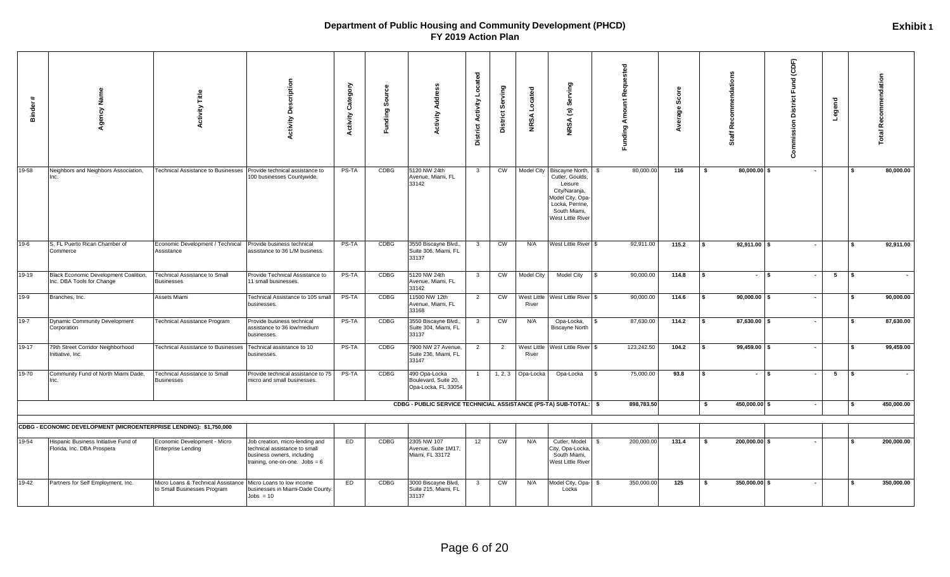| <b>Binder</b> | Agency Name                                                        | Title<br>ctivity                                                  | <b>Activity Description</b>                                                                                                        | Category<br><b>Activity</b> | Sour<br><b>Funding</b> | Address<br>Activity                                                 | Located<br><b>District Activity</b> | District Serving       | <b>NRSA</b> Located  | Serving<br>$\widehat{\mathbf{c}}$<br>NRSA                                                                                                            | <b>Funding Amount Requested</b> | Score<br>Average | õŽ<br>Ĭā<br>ō         | Fund (CDF)<br><b>District</b><br>Legend<br>Commission |     | <b>Total Recommendation</b> |
|---------------|--------------------------------------------------------------------|-------------------------------------------------------------------|------------------------------------------------------------------------------------------------------------------------------------|-----------------------------|------------------------|---------------------------------------------------------------------|-------------------------------------|------------------------|----------------------|------------------------------------------------------------------------------------------------------------------------------------------------------|---------------------------------|------------------|-----------------------|-------------------------------------------------------|-----|-----------------------------|
| 19-58         | Neighbors and Neighbors Association,                               | <b>Technical Assistance to Businesses</b>                         | Provide technical assistance to<br>100 businesses Countywide.                                                                      | PS-TA                       | CDBG                   | 5120 NW 24th<br>Avenue, Miami, FL<br>33142                          | $\mathbf{3}$                        | CW                     |                      | Model City Biscayne North<br>Cutler, Goulds,<br>Leisure<br>City/Naranja,<br>Model City, Opa-<br>Locka, Perrine,<br>South Miami,<br>West Little River | 80,000.00                       | 116              | 80,000.00 \$<br>- \$  | $\sim$                                                |     | 80,000.00                   |
| $19-6$        | S. FL Puerto Rican Chamber of<br>Commerce                          | Economic Development / Technical<br>Assistance                    | Provide business technical<br>assistance to 36 L/M business.                                                                       | PS-TA                       | CDBG                   | 3550 Biscayne Blvd.,<br>Suite 306, Miami, FL<br>33137               | $\overline{\mathbf{3}}$             | CW                     | N/A                  | West Little River \$                                                                                                                                 | 92,911.00                       | 115.2            | $92,911.00$ \$<br>s   | $\sim$                                                |     | 92,911.00                   |
| 19-19         | Black Economic Development Coalition,<br>Inc. DBA Tools for Change | Technical Assistance to Small<br><b>Businesses</b>                | Provide Technical Assistance to<br>11 small businesses.                                                                            | PS-TA                       | CDBG                   | 5120 NW 24th<br>Avenue, Miami, FL<br>33142                          | $\mathbf{3}$                        | CW                     | <b>Model City</b>    | Model City                                                                                                                                           | 90,000.00                       | 114.8            | $-1$ s<br>s.          | $5\overline{5}$<br>$\blacksquare$                     | l s |                             |
| $19-9$        | Branches, Inc.                                                     | Assets Miami                                                      | <b>Fechnical Assistance to 105 small</b><br>businesses.                                                                            | PS-TA                       | <b>CDBG</b>            | 11500 NW 12th<br>Avenue, Miami, FL<br>33168                         | 2                                   | CW                     | West Little<br>River | West Little River \$                                                                                                                                 | 90,000.00                       | 114.6            | $90,000.00$ \$<br>\$  | $\sim$                                                |     | 90,000.00                   |
| $19 - 7$      | Dynamic Community Development<br>Corporation                       | <b>Fechnical Assistance Program</b>                               | Provide business technical<br>assistance to 36 low/medium<br>businesses.                                                           | PS-TA                       | <b>CDBG</b>            | 3550 Biscayne Blvd.,<br>Suite 304, Miami, FL<br>33137               | $\mathbf{3}$                        | CW                     | N/A                  | Opa-Locka,<br><b>Biscayne North</b>                                                                                                                  | 87,630.00                       | 114.2            | 87,630.00 \$<br>\$    | $\sim$                                                |     | 87,630.00                   |
| $19-17$       | 79th Street Corridor Neighborhood<br>Initiative, Inc.              | <b>Technical Assistance to Businesses</b>                         | Technical assistance to 10<br>businesses.                                                                                          | PS-TA                       | <b>CDBG</b>            | 7900 NW 27 Avenue,<br>Suite 236, Miami, FL<br>33147                 | $\overline{2}$                      | $\overline{2}$         | West Little<br>River | West Little River \$                                                                                                                                 | 123,242.50                      | 104.2            | $99,459.00$ \$<br>\$  | $\sim$                                                |     | 99,459.00                   |
| $19 - 70$     | Community Fund of North Miami Dade,<br>Inc.                        | <b>Fechnical Assistance to Small</b><br><b>Businesses</b>         | Provide technical assistance to 75<br>micro and small businesses.                                                                  | PS-TA                       | CDBG                   | 490 Opa-Locka<br>Boulevard, Suite 20,<br>Opa-Locka, FL 33054        | $\overline{1}$                      |                        | 1, 2, 3 Opa-Locka    | Opa-Locka                                                                                                                                            | 75,000.00                       | 93.8             | $-1$ s<br>\$          | 5 <sub>5</sub><br>$\sim$                              | IS. |                             |
|               |                                                                    |                                                                   |                                                                                                                                    |                             |                        | CDBG - PUBLIC SERVICE TECHNICIAL ASSISTANCE (PS-TA) SUB-TOTAL:   \$ |                                     |                        |                      |                                                                                                                                                      | 898,783.50                      |                  | 450,000.00 \$<br>- \$ | $\sim$                                                | l S | 450,000.00                  |
|               | CDBG - ECONOMIC DEVELOPMENT (MICROENTERPRISE LENDING): \$1,750,000 |                                                                   |                                                                                                                                    |                             |                        |                                                                     |                                     |                        |                      |                                                                                                                                                      |                                 |                  |                       |                                                       |     |                             |
| 19-54         | Hispanic Business Initiative Fund of<br>Florida, Inc. DBA Prospera | Economic Development - Micro<br><b>Enterprise Lending</b>         | Job creation, micro-lending and<br>technical assistance to small<br>business owners, including<br>training, one-on-one. $Jobs = 6$ | ED                          | <b>CDBG</b>            | 2305 NW 107<br>Avenue, Suite 1M17,<br>Miami, FL 33172               | 12                                  | $\overline{\text{cm}}$ | N/A                  | Cutler, Model<br>City, Opa-Locka<br>South Miami,<br>West Little River                                                                                | 200,000.00                      | 131.4            | 200,000.00 \$<br>-S   |                                                       |     | 200,000.00                  |
| $19-42$       | Partners for Self Employment, Inc.                                 | Micro Loans & Technical Assistance<br>to Small Businesses Program | Micro Loans to low income<br>businesses in Miami-Dade County.<br>$\text{Jobs} = 10$                                                | ED                          | CDBG                   | 3000 Biscayne Blvd,<br>Suite 215, Miami, FL<br>33137                | $\mathbf{3}$                        | CW                     | N/A                  | Model City, Opa- \$<br>Locka                                                                                                                         | 350,000.00                      | 125              | -S<br>350,000.00 \$   | $\sim$                                                |     | 350,000.00                  |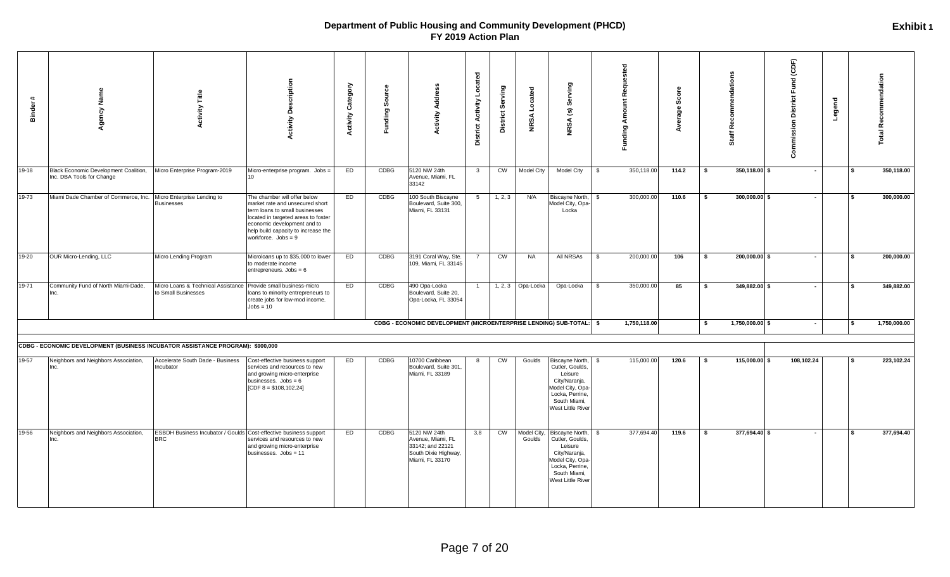| #<br>Binder | Agency Name                                                                    | Title<br>Activity                                         | <b>Activity Description</b>                                                                                                                                                                                                             | <b>Activity Category</b> | Funding Source | <b>Address</b><br>Activity                                                                       | Located<br><b>District Activity</b> | District Serving | NRSA Located          | (s) Serving<br><b>NRSA</b>                                                                                                                 | <b>Funding Amount Requested</b> | Score<br>Average | ommendation<br>٩è<br>Staff | Fund (CDF)<br><b>Commission District</b> | Legend |     | otal Recommendation |
|-------------|--------------------------------------------------------------------------------|-----------------------------------------------------------|-----------------------------------------------------------------------------------------------------------------------------------------------------------------------------------------------------------------------------------------|--------------------------|----------------|--------------------------------------------------------------------------------------------------|-------------------------------------|------------------|-----------------------|--------------------------------------------------------------------------------------------------------------------------------------------|---------------------------------|------------------|----------------------------|------------------------------------------|--------|-----|---------------------|
| $19-18$     | Black Economic Development Coalition,<br>Inc. DBA Tools for Change             | Micro Enterprise Program-2019                             | Micro-enterprise program. Jobs =<br>10                                                                                                                                                                                                  | ED                       | <b>CDBG</b>    | 5120 NW 24th<br>Avenue, Miami, FL<br>33142                                                       | $\mathbf{3}$                        | CW               | Model City            | Model City                                                                                                                                 | 350,118.00<br>\$                | 114.2            | 350,118.00 \$<br>- \$      | $\sim$                                   |        |     | 350,118.00          |
| 19-73       | Miami Dade Chamber of Commerce, Inc. Micro Enterprise Lending to               | <b>Businesses</b>                                         | The chamber will offer below<br>market rate and unsecured short<br>term loans to small businesses<br>located in targeted areas to foster<br>economic development and to<br>help build capacity to increase the<br>workforce. $Jobs = 9$ | ED                       | CDBG           | 100 South Biscayne<br>Boulevard, Suite 300,<br>Miami, FL 33131                                   | $5\overline{5}$                     | 1, 2, 3          | N/A                   | Biscayne North, \$<br>Model City, Opa-<br>Locka                                                                                            | 300,000.00                      | 110.6            | $300,000.00$ \$<br>- \$    | $\sim$                                   |        |     | 300,000.00          |
| 19-20       | OUR Micro-Lending, LLC                                                         | Micro Lending Program                                     | Microloans up to \$35,000 to lower<br>to moderate income<br>entrepreneurs. Jobs = 6                                                                                                                                                     | ED                       | CDBG           | 3191 Coral Way, Ste.<br>109, Miami, FL 33145                                                     | $\overline{7}$                      | CW               | <b>NA</b>             | All NRSAs                                                                                                                                  | 200,000.00<br><b>S</b>          | 106              | 200,000.00 \$<br>- \$      | $\sim$                                   |        | \$  | 200,000.00          |
| 19-71       | Community Fund of North Miami-Dade,                                            | Micro Loans & Technical Assistance<br>to Small Businesses | Provide small business-micro<br>loans to minority entrepreneurs to<br>create jobs for low-mod income.<br>$Jobs = 10$                                                                                                                    | ED                       | CDBG           | 490 Opa-Locka<br>Boulevard, Suite 20,<br>Opa-Locka, FL 33054                                     | $\mathbf{1}$                        | 1, 2, 3          | Opa-Locka             | Opa-Locka                                                                                                                                  | 350,000.00<br>\$                | 85               | 349,882.00 \$<br>- \$      | $\sim$                                   |        |     | 349,882.00          |
|             |                                                                                |                                                           |                                                                                                                                                                                                                                         |                          |                | CDBG - ECONOMIC DEVELOPMENT (MICROENTERPRISE LENDING) SUB-TOTAL: \$                              |                                     |                  |                       |                                                                                                                                            | 1,750,118.00                    |                  | 1,750,000.00 \$<br>\$      | $\sim$                                   |        | l S | 1,750,000.00        |
|             | CDBG - ECONOMIC DEVELOPMENT (BUSINESS INCUBATOR ASSISTANCE PROGRAM): \$900,000 |                                                           |                                                                                                                                                                                                                                         |                          |                |                                                                                                  |                                     |                  |                       |                                                                                                                                            |                                 |                  |                            |                                          |        |     |                     |
| 19-57       | Neighbors and Neighbors Association,<br>Inc.                                   | Accelerate South Dade - Business<br>Incubator             | Cost-effective business support<br>services and resources to new<br>and growing micro-enterprise<br>businesses. $Jobs = 6$<br>[CDF $8 = $108,102.24$ ]                                                                                  | ED                       | <b>CDBG</b>    | 10700 Caribbean<br>Boulevard, Suite 301<br>Miami, FL 33189                                       | 8                                   | CW               | Goulds                | Biscayne North,<br>Cutler, Goulds,<br>Leisure<br>City/Naranja,<br>Model City, Opa-<br>Locka, Perrine,<br>South Miami,<br>West Little River | 115,000.00<br>- \$              | 120.6            | 115,000.00 \$<br>- \$      | 108,102.24                               |        |     | 223,102.24          |
| 19-56       | Neighbors and Neighbors Association,<br>Inc.                                   | <b>BRC</b>                                                | ESBDH Business Incubator / Goulds Cost-effective business support<br>services and resources to new<br>and growing micro-enterprise<br>businesses. Jobs = 11                                                                             | ED                       | CDBG           | 5120 NW 24th<br>Avenue, Miami, FL<br>33142; and 22121<br>South Dixie Highway,<br>Miami, FL 33170 | 3,8                                 | CW               | Model City,<br>Goulds | Biscayne North,<br>Cutler, Goulds,<br>Leisure<br>City/Naranja,<br>Model City, Opa-<br>Locka, Perrine,<br>South Miami,<br>West Little River | 377,694.40<br><b>S</b>          | 119.6            | 377,694.40 \$<br>- \$      | $\sim$                                   |        |     | 377,694.40          |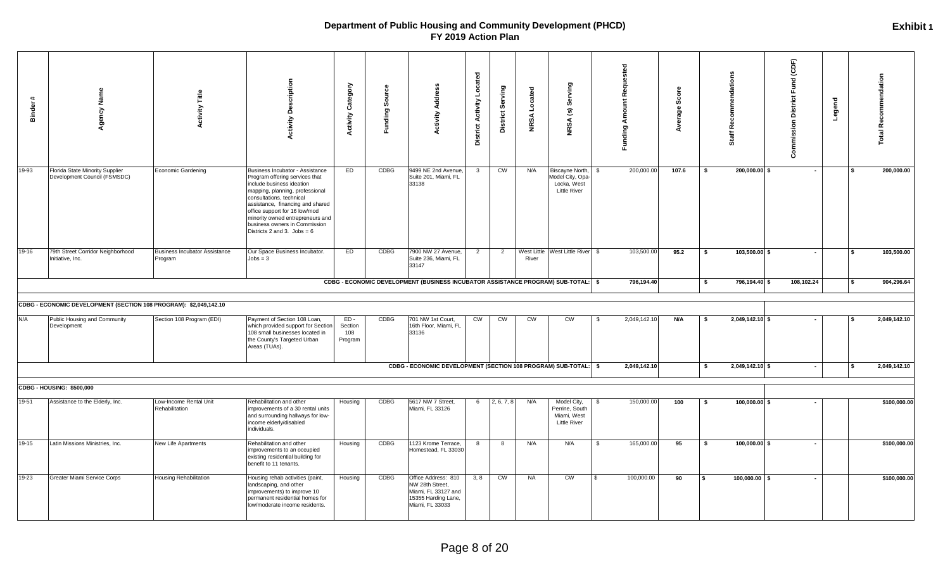| Binder | Agency Name                                                       | Title<br><b>Activity</b>                        | <b>Activity Description</b>                                                                                                                                                                                                                                                                                                              | <b>Activity Category</b>            | ပ္ပိ<br>Sour<br>Funding: | 횽<br>∢<br><b>Activity</b>                                                                               | Located<br><b>District Activity</b> | District Serving | Located<br><b>NRSA</b> | ving<br>శిం<br>$\widehat{\mathbf{e}}$<br><b>NRSA</b>                     | Funding Amount Requested | Scor<br>erage |      | mendations<br>Ē<br>ō<br>مم<br>٦f<br>ö5 | Commission District Fund (CDF) | Legend |     | <b>Total Recommendation</b> |
|--------|-------------------------------------------------------------------|-------------------------------------------------|------------------------------------------------------------------------------------------------------------------------------------------------------------------------------------------------------------------------------------------------------------------------------------------------------------------------------------------|-------------------------------------|--------------------------|---------------------------------------------------------------------------------------------------------|-------------------------------------|------------------|------------------------|--------------------------------------------------------------------------|--------------------------|---------------|------|----------------------------------------|--------------------------------|--------|-----|-----------------------------|
| 19-93  | Florida State Minority Supplier<br>Development Council (FSMSDC)   | Economic Gardening                              | Business Incubator - Assistance<br>Program offering services that<br>include business ideation<br>mapping, planning, professional<br>consultations, technical<br>assistance, financing and shared<br>office support for 16 low/mod<br>minority owned entrepreneurs and<br>business owners in Commission<br>Districts 2 and 3. Jobs = $6$ | ED                                  | CDBG                     | 9499 NE 2nd Avenue<br>Suite 201, Miami, FL<br>33138                                                     | $\overline{\mathbf{3}}$             | <b>CW</b>        | N/A                    | Biscayne North,<br>Model City, Opa<br>Locka, West<br><b>Little River</b> | 200,000.00               | 107.6         | -\$  | 200,000.00 \$                          | $\sim$                         |        |     | 200,000.00                  |
| 19-16  | 79th Street Corridor Neighborhood<br>Initiative, Inc.             | <b>Business Incubator Assistance</b><br>Program | Our Space Business Incubator.<br>$Jobs = 3$                                                                                                                                                                                                                                                                                              | ED                                  | CDBG                     | 7900 NW 27 Avenue,<br>Suite 236, Miami, FL<br>33147                                                     | $\overline{2}$                      | $\overline{2}$   | River                  | West Little West Little River \$                                         | 103,500.00               | 95.2          | -\$  | 103,500.00 \$                          | $\sim$                         |        |     | 103,500.00                  |
|        |                                                                   |                                                 |                                                                                                                                                                                                                                                                                                                                          |                                     |                          | CDBG - ECONOMIC DEVELOPMENT (BUSINESS INCUBATOR ASSISTANCE PROGRAM) SUB-TOTAL: \$                       |                                     |                  |                        |                                                                          | 796,194.40               |               | -\$  | 796,194.40 \$                          | 108,102.24                     |        |     | 904,296.64                  |
|        | CDBG - ECONOMIC DEVELOPMENT (SECTION 108 PROGRAM): \$2,049,142.10 |                                                 |                                                                                                                                                                                                                                                                                                                                          |                                     |                          |                                                                                                         |                                     |                  |                        |                                                                          |                          |               |      |                                        |                                |        |     |                             |
| N/A    | Public Housing and Community<br>Development                       | Section 108 Program (EDI)                       | Payment of Section 108 Loan,<br>which provided support for Section<br>108 small businesses located in<br>the County's Targeted Urban<br>Areas (TUAs).                                                                                                                                                                                    | $ED -$<br>Section<br>108<br>Program | <b>CDBG</b>              | 701 NW 1st Court,<br>16th Floor, Miami, FL<br>33136                                                     | <b>CW</b>                           | CW               | <b>CW</b>              | CW                                                                       | 2,049,142.10<br>-S       | N/A           | - \$ | 2,049,142.10 \$                        |                                |        |     | 2,049,142.10                |
|        |                                                                   |                                                 |                                                                                                                                                                                                                                                                                                                                          |                                     |                          | CDBG - ECONOMIC DEVELOPMENT (SECTION 108 PROGRAM) SUB-TOTAL: \$                                         |                                     |                  |                        |                                                                          | 2,049,142.10             |               | \$   | 2,049,142.10 \$                        | $\sim$                         |        | - S | 2,049,142.10                |
|        | CDBG - HOUSING: \$500,000                                         |                                                 |                                                                                                                                                                                                                                                                                                                                          |                                     |                          |                                                                                                         |                                     |                  |                        |                                                                          |                          |               |      |                                        |                                |        |     |                             |
| 19-51  | Assistance to the Elderly, Inc.                                   | Low-Income Rental Unit<br>Rehabilitation        | Rehabilitation and other<br>improvements of a 30 rental units<br>and surrounding hallways for low-<br>income elderly/disabled<br>individuals.                                                                                                                                                                                            | Housing                             | CDBG                     | 5617 NW 7 Street,<br>Miami, FL 33126                                                                    | 6                                   | 2, 6, 7, 8       | N/A                    | Model City,<br>Perrine, South<br>Miami, West<br><b>Little River</b>      | 150,000.00<br>- \$       | 100           | - \$ | $100,000.00$ \$                        |                                |        |     | \$100,000.00                |
| 19-15  | Latin Missions Ministries, Inc.                                   | New Life Apartments                             | Rehabilitation and other<br>improvements to an occupied<br>existing residential building for<br>benefit to 11 tenants.                                                                                                                                                                                                                   | Housing                             | CDBG                     | 1123 Krome Terrace,<br>Homestead, FL 33030                                                              | 8                                   | 8                | N/A                    | N/A                                                                      | 165,000.00<br>\$         | 95            | \$   | $100,000.00$ \$                        |                                |        |     | \$100,000.00                |
| 19-23  | Greater Miami Service Corps                                       | Housing Rehabilitation                          | Housing rehab activities (paint,<br>landscaping, and other<br>improvements) to improve 10<br>permanent residential homes for<br>low/moderate income residents.                                                                                                                                                                           | Housing                             | CDBG                     | Office Address: 810<br>NW 28th Street,<br>Miami, FL 33127 and<br>15355 Harding Lane,<br>Miami, FL 33033 | 3, 8                                | CW               | <b>NA</b>              | CW                                                                       | 100,000.00<br>£.         | 90            | \$   | $100,000.00$ \$                        | ٠                              |        |     | \$100,000.00                |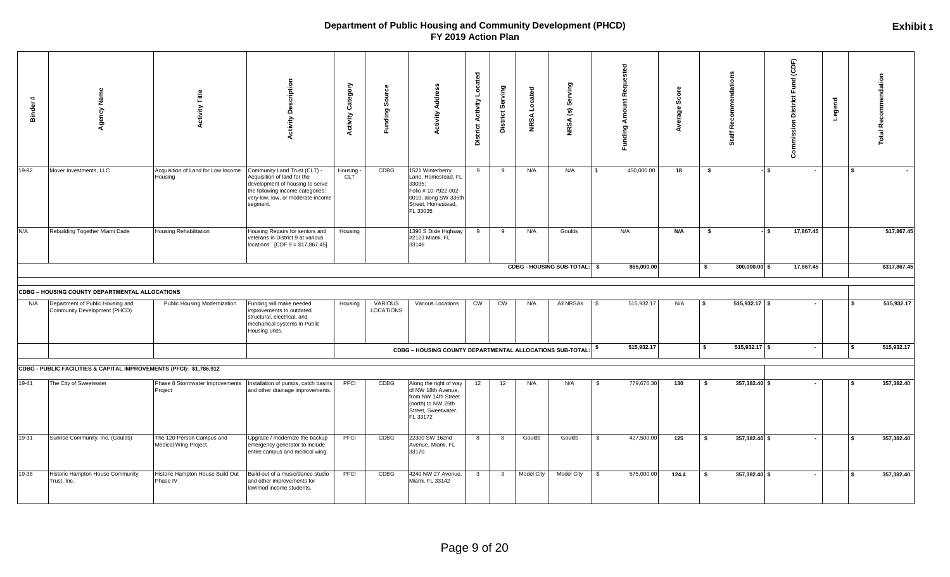| #<br><b>Binder</b> | Agency Name                                                         | <b>Activity Title</b>                             | <b>Activity Description</b>                                                                                                                                                         | <b>Activity Category</b> | Source<br><b>Funding</b>           | Address<br>Activity                                                                                                                 | <b>District Activity Located</b> | District Serving        | NRSA Located      | (s) Serving<br><b>NRSA</b>   |               | Funding Amount Requested | Φ<br>မ္တိ<br>age<br>Ž |    | ഗ<br>commendation<br>Rĕ<br>Tig1<br>ō |     | Commission District Fund (CDF) | Legend   |              | <b>Total Recommendation</b> |
|--------------------|---------------------------------------------------------------------|---------------------------------------------------|-------------------------------------------------------------------------------------------------------------------------------------------------------------------------------------|--------------------------|------------------------------------|-------------------------------------------------------------------------------------------------------------------------------------|----------------------------------|-------------------------|-------------------|------------------------------|---------------|--------------------------|-----------------------|----|--------------------------------------|-----|--------------------------------|----------|--------------|-----------------------------|
| 19-82              | Mover Investments, LLC                                              | Acquisition of Land for Low Income<br>Housing     | Community Land Trust (CLT) -<br>Acquisition of land for the<br>development of housing to serve<br>the following income categories:<br>very-low, low, or moderate-income<br>segment. | Housing<br><b>CLT</b>    | CDBG                               | 1521 Winterberry<br>Lane, Homestead, FL<br>33035;<br>Folio # 10-7922-002-<br>0010, along SW 336th<br>Street, Homestead,<br>FL 33035 | 9                                | 9                       | N/A               | N/A                          | $\mathcal{F}$ | 450,000.00               | 18                    | \$ |                                      | IS. | $\sim$                         |          | $\mathbf{s}$ |                             |
| N/A                | Rebuilding Together Miami Dade                                      | <b>Housing Rehabilitation</b>                     | Housing Repairs for seniors and<br>veterans in District 9 at various<br>locations. $[CDF 9 = $17,867.45]$                                                                           | Housing                  |                                    | 1390 S Dixie Highway<br>#2123 Miami, FL<br>33146                                                                                    | 9                                | 9                       | N/A               | Goulds                       |               | N/A                      | N/A                   | \$ |                                      | IS. | 17,867.45                      |          |              | \$17,867.45                 |
|                    |                                                                     |                                                   |                                                                                                                                                                                     |                          |                                    |                                                                                                                                     |                                  |                         |                   | CDBG - HOUSING SUB-TOTAL: \$ |               | 865,000.00               |                       | s. | $300,000.00$ \$                      |     | 17,867.45                      |          |              | \$317,867.45                |
|                    | <b>CDBG - HOUSING COUNTY DEPARTMENTAL ALLOCATIONS</b>               |                                                   |                                                                                                                                                                                     |                          |                                    |                                                                                                                                     |                                  |                         |                   |                              |               |                          |                       |    |                                      |     |                                |          |              |                             |
| N/A                | Department of Public Housing and<br>Community Development (PHCD)    | Public Housing Modernization                      | Funding will make needed<br>improvements to outdated<br>structural, electrical, and<br>mechanical systems in Public<br>Housing units.                                               | Housing                  | <b>VARIOUS</b><br><b>LOCATIONS</b> | Various Locations                                                                                                                   | $\overline{\text{cm}}$           | C <sub>M</sub>          | N/A               | All NRSAs                    |               | 515,932.17               | N/A                   |    | $515,932.17$ \$                      |     |                                |          |              | 515,932.17                  |
|                    |                                                                     |                                                   |                                                                                                                                                                                     |                          |                                    | $CDBG$ – HOUSING COUNTY DEPARTMENTAL ALLOCATIONS SUB-TOTAL: $ \$$                                                                   |                                  |                         |                   |                              |               | 515,932.17               |                       | \$ | $515,932.17$ \$                      |     | $\sim$                         |          | l \$         | 515,932.17                  |
|                    | CDBG - PUBLIC FACILITIES & CAPITAL IMPROVEMENTS (PFCI): \$1,786,912 |                                                   |                                                                                                                                                                                     |                          |                                    |                                                                                                                                     |                                  |                         |                   |                              |               |                          |                       |    |                                      |     |                                |          |              |                             |
| 19-41              | The City of Sweetwater                                              | Phase 8 Stormwater Improvements<br>Project        | Installation of pumps, catch basins<br>and other drainage improvements                                                                                                              | PFCI                     | CDBG                               | Along the right of way<br>of NW 18th Avenue,<br>from NW 14th Street<br>(north) to NW 25th<br>Street, Sweetwater,<br>FL 33172        | 12                               | 12                      | N/A               | N/A                          | \$            | 779,676.30               | 130                   | S. | 357,382.40 \$                        |     |                                | <b>S</b> |              | 357,382.40                  |
| 19-31              | Sunrise Community, Inc. (Goulds)                                    | The 120-Person Campus and<br>Medical Wing Project | Upgrade / modernize the backup<br>emergency generator to include<br>entire campus and medical wing.                                                                                 | PFCI                     | <b>CDBG</b>                        | 22300 SW 162nd<br>Avenue, Miami, FL<br>33170                                                                                        | 8                                | 8                       | Goulds            | Goulds                       | $\mathbf{s}$  | 427,500.00               | 125                   | S. | 357,382.40 \$                        |     |                                |          | $\mathbf{s}$ | 357,382.40                  |
| 19-38              | Historic Hampton House Community<br>Trust, Inc.                     | Historic Hampton House Build Out<br>Phase IV      | Build-out of a music/dance studio<br>and other improvements for<br>low/mod income students.                                                                                         | PFCI                     | <b>CDBG</b>                        | 4240 NW 27 Avenue,<br>Miami, FL 33142                                                                                               | $\overline{\mathbf{3}}$          | $\overline{\mathbf{3}}$ | <b>Model City</b> | Model City                   | -S            | 575,000.00               | 124.4                 | S. | $\overline{357,382.40}$ \$           |     | $\overline{\phantom{a}}$       |          | l S          | 357,382.40                  |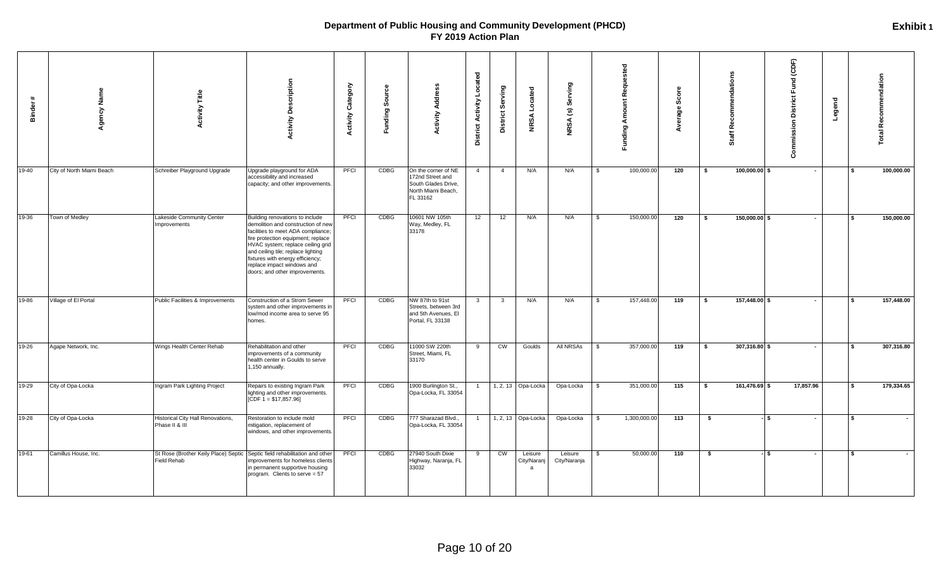| $\ddot{}$<br><b>Binder</b> | Agency Name               | <b>Activity Title</b>                                                                     | <b>Activity Description</b>                                                                                                                                                                                                                                                                                                      | Category<br><b>Activity</b> | ь<br>န္တ<br>Funding: | <b>Activity Address</b>                                                                          | <b>District Activity Located</b> | District Serving        | Located<br><b>NRSA</b>      | Serving<br>NRSA (s):    |              | <b>Funding Amount Requested</b> | ဖိ<br>age |     | mendations<br>Recor<br>荒<br>ŏ | (CDF)<br><b>Commission District Fund</b> | Legend |                 | <b>Total Recommendation</b> |
|----------------------------|---------------------------|-------------------------------------------------------------------------------------------|----------------------------------------------------------------------------------------------------------------------------------------------------------------------------------------------------------------------------------------------------------------------------------------------------------------------------------|-----------------------------|----------------------|--------------------------------------------------------------------------------------------------|----------------------------------|-------------------------|-----------------------------|-------------------------|--------------|---------------------------------|-----------|-----|-------------------------------|------------------------------------------|--------|-----------------|-----------------------------|
| 19-40                      | City of North Miami Beach | Schreiber Playground Upgrade                                                              | Upgrade playground for ADA<br>accessibility and increased<br>capacity; and other improvements.                                                                                                                                                                                                                                   | PFCI                        | CDBG                 | On the corner of NE<br>172nd Street and<br>South Glades Drive,<br>North Miami Beach,<br>FL 33162 | 4                                | $\overline{4}$          | N/A                         | N/A                     | <b>S</b>     | 100,000.00                      | 120       | -S  | 100,000.00 \$                 | $\sim$                                   |        |                 | 100,000.00                  |
| 19-36                      | Town of Medley            | Lakeside Community Center<br>Improvements                                                 | Building renovations to include<br>demolition and construction of new<br>facilities to meet ADA compliance;<br>fire protection equipment; replace<br>HVAC system; replace ceiling grid<br>and ceiling tile; replace lighting<br>fixtures with energy efficiency;<br>replace impact windows and<br>doors; and other improvements. | PFCI                        | CDBG                 | 10601 NW 105th<br>Way, Medley, FL<br>33178                                                       | 12                               | 12                      | N/A                         | N/A                     | \$           | 150,000.00                      | 120       | -\$ | 150,000.00 \$                 | $\sim$                                   |        |                 | 150,000.00                  |
| 19-86                      | Village of El Portal      | Public Facilities & Improvements                                                          | Construction of a Strom Sewer<br>system and other improvements in<br>low/mod income area to serve 95<br>homes.                                                                                                                                                                                                                   | PFCI                        | CDBG                 | NW 87th to 91st<br>Streets, between 3rd<br>and 5th Avenues, El<br>Portal, FL 33138               | $\mathbf{3}$                     | $\overline{\mathbf{3}}$ | N/A                         | N/A                     | $\mathbb{S}$ | 157,448.00                      | 119       | s.  | 157,448.00 \$                 |                                          |        | l \$            | 157,448.00                  |
| 19-26                      | Agape Network, Inc.       | Wings Health Center Rehab                                                                 | Rehabilitation and other<br>improvements of a community<br>health center in Goulds to serve<br>1,150 annually.                                                                                                                                                                                                                   | PFCI                        | CDBG                 | 11000 SW 220th<br>Street, Miami, FL<br>33170                                                     | 9                                | CW                      | Goulds                      | All NRSAs               | \$           | 357,000.00                      | 119       | s.  | 307,316.80 \$                 | $\sim$                                   |        |                 | 307,316.80                  |
| 19-29                      | City of Opa-Locka         | Ingram Park Lighting Project                                                              | Repairs to existing Ingram Park<br>lighting and other improvements.<br>$[CDF 1 = $17,857.96]$                                                                                                                                                                                                                                    | PFCI                        | CDBG                 | 1900 Burlington St.,<br>Opa-Locka, FL 33054                                                      |                                  |                         | 1, 2, 13 Opa-Locka          | Opa-Locka               | - \$         | 351,000.00                      | 115       | s.  | 161,476.69 \$                 | 17,857.96                                |        |                 | 179,334.65                  |
| 19-28                      | City of Opa-Locka         | Historical City Hall Renovations,<br>Phase II & III                                       | Restoration to include mold<br>mitigation, replacement of<br>windows, and other improvements.                                                                                                                                                                                                                                    | PFCI                        | CDBG                 | 777 Sharazad Blvd.,<br>Opa-Locka, FL 33054                                                       | $\mathbf{1}$                     |                         | 1, 2, 13 Opa-Locka          | Opa-Locka               | $\mathbb{S}$ | 1,300,000.00                    | 113       | \$  |                               | l S<br>$\sim$                            |        | $\ddot{\bm{x}}$ |                             |
| 19-61                      | Camillus House, Inc.      | St Rose (Brother Keily Place) Septic Septic field rehabilitation and other<br>Field Rehab | improvements for homeless clients<br>in permanent supportive housing<br>program. Clients to serve = 57                                                                                                                                                                                                                           | PFCI                        | CDBG                 | 27940 South Dixie<br>Highway, Naranja, FL<br>33032                                               | 9                                | CW                      | Leisure<br>City/Naranj<br>a | Leisure<br>City/Naranja | \$           | 50,000.00                       | 110       | \$  |                               | - IS<br>$\sim$                           |        | l \$            |                             |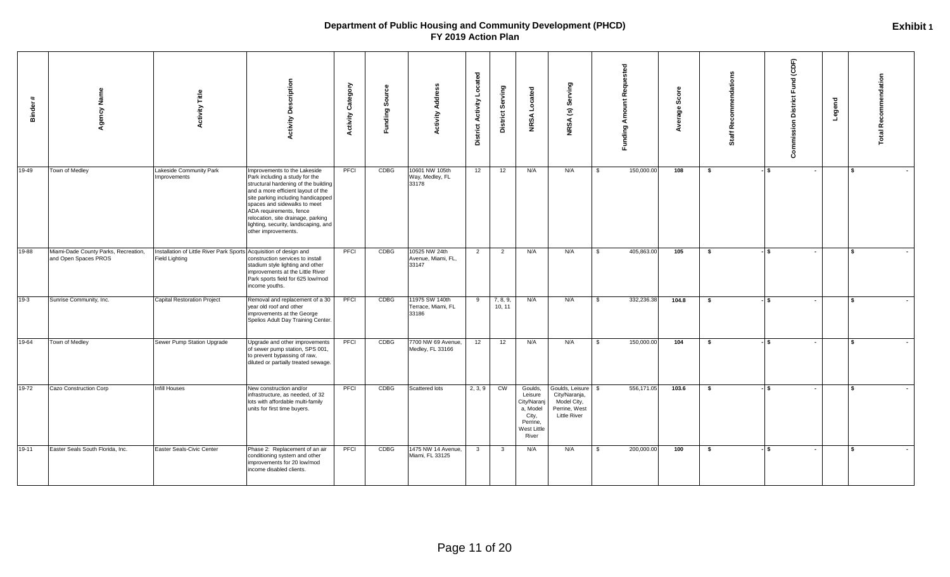| $\ddot{}$<br><b>Binder</b> | gency Name                                                   | <b>Activity Title</b>                                                                       | <b>Activity Description</b>                                                                                                                                                                                                                                                                                                                        | Category<br><b>Activity</b> | Sourc<br><b>Funding</b> | Address<br>Activity                           | <b>District Activity Located</b> | Serving<br><b>District</b> | Located<br><b>NRSA</b>                                                                     | Serving<br>$\widehat{\mathbf{e}}$<br><b>NRSA</b>                                           |               | Funding Amount Requested | Score<br>Average | Recommendations<br>Staff | Commission District Fund (CDF) | Legend | <b>Total Recommendation</b> |
|----------------------------|--------------------------------------------------------------|---------------------------------------------------------------------------------------------|----------------------------------------------------------------------------------------------------------------------------------------------------------------------------------------------------------------------------------------------------------------------------------------------------------------------------------------------------|-----------------------------|-------------------------|-----------------------------------------------|----------------------------------|----------------------------|--------------------------------------------------------------------------------------------|--------------------------------------------------------------------------------------------|---------------|--------------------------|------------------|--------------------------|--------------------------------|--------|-----------------------------|
| 19-49                      | Town of Medley                                               | Lakeside Community Park<br>Improvements                                                     | Improvements to the Lakeside<br>Park including a study for the<br>structural hardening of the building<br>and a more efficient layout of the<br>site parking including handicapped<br>spaces and sidewalks to meet<br>ADA requirements, fence<br>relocation, site drainage, parking<br>lighting, security, landscaping, and<br>other improvements. | PFCI                        | CDBG                    | 10601 NW 105th<br>Way, Medley, FL<br>33178    | 12                               | 12                         | N/A                                                                                        | N/A                                                                                        | <b>S</b>      | 150,000.00               | 108              | \$                       | - I S<br>$\sim$                |        | $\mathbf{s}$                |
| 19-88                      | Miami-Dade County Parks, Recreation,<br>and Open Spaces PROS | Installation of Little River Park Sports Acquisition of design and<br><b>Field Lighting</b> | construction services to install<br>stadium style lighting and other<br>improvements at the Little River<br>Park sports field for 625 low/mod<br>income youths.                                                                                                                                                                                    | PFCI                        | CDBG                    | 10525 NW 24th<br>Avenue, Miami, FL,<br>33147  | 2                                | $\overline{2}$             | N/A                                                                                        | N/A                                                                                        | $\mathfrak s$ | 405,863.00               | 105              | \$                       | - ISS<br>$\sim$                |        | l \$                        |
| 19-3                       | Sunrise Community, Inc.                                      | <b>Capital Restoration Project</b>                                                          | Removal and replacement of a 30<br>year old roof and other<br>improvements at the George<br>Spelios Adult Day Training Center.                                                                                                                                                                                                                     | PFCI                        | CDBG                    | 11975 SW 140th<br>Terrace, Miami, FL<br>33186 | 9                                | 7, 8, 9,<br>10, 11         | N/A                                                                                        | N/A                                                                                        | <b>S</b>      | 332,236.38               | 104.8            | \$                       | - I S<br>$\sim$                |        | $\mathbf{s}$                |
| 19-64                      | Town of Medley                                               | Sewer Pump Station Upgrade                                                                  | Upgrade and other improvements<br>of sewer pump station, SPS 001,<br>to prevent bypassing of raw,<br>diluted or partially treated sewage.                                                                                                                                                                                                          | PFCI                        | CDBG                    | 7700 NW 69 Avenue,<br>Medley, FL 33166        | 12                               | 12                         | N/A                                                                                        | N/A                                                                                        | \$            | 150,000.00               | 104              | \$                       | -ls                            |        | l \$                        |
| 19-72                      | Cazo Construction Corp                                       | Infill Houses                                                                               | New construction and/or<br>infrastructure, as needed, of 32<br>lots with affordable multi-family<br>units for first time buyers.                                                                                                                                                                                                                   | PFCI                        | CDBG                    | Scattered lots                                | 2, 3, 9                          | CW                         | Goulds,<br>Leisure<br>City/Naranj<br>a, Model<br>City,<br>Perrine,<br>West Little<br>River | Goulds, Leisure \$<br>City/Naranja,<br>Model City,<br>Perrine, West<br><b>Little River</b> |               | 556,171.05               | 103.6            | \$                       | - 15<br>$\sim$                 |        | $\mathbf{s}$                |
| 19-11                      | Easter Seals South Florida, Inc.                             | Easter Seals-Civic Center                                                                   | Phase 2: Replacement of an air<br>conditioning system and other<br>improvements for 20 low/mod<br>income disabled clients.                                                                                                                                                                                                                         | PFCI                        | CDBG                    | 1475 NW 14 Avenue,<br>Miami, FL 33125         | $\overline{\mathbf{3}}$          | $\overline{\mathbf{3}}$    | N/A                                                                                        | N/A                                                                                        | \$            | 200,000.00               | 100              | \$                       | -ls<br>$\sim$                  |        | $\mathbf{s}$                |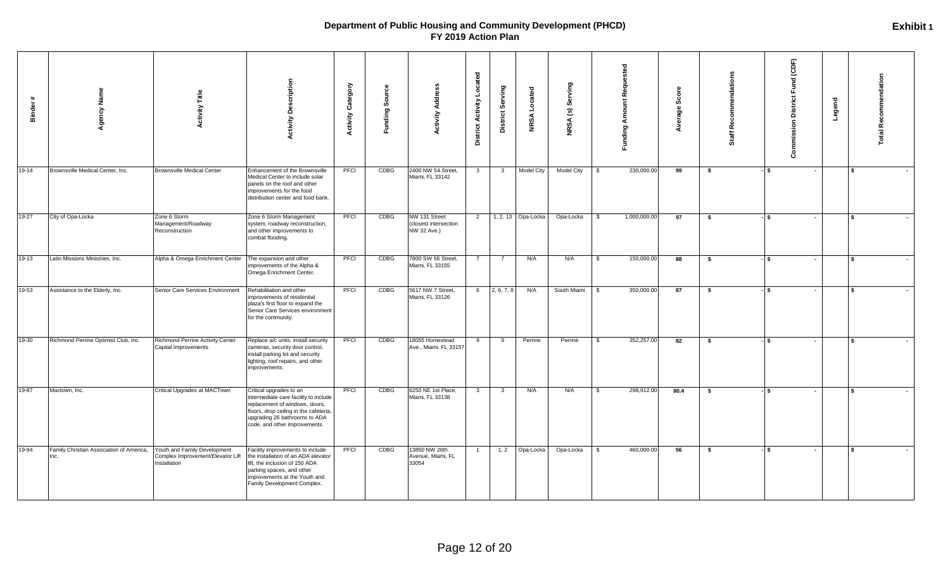| $\ddot{}$<br>Binder | Name<br>Agency                                  | <b>Activity Title</b>                                                             | <b>Activity Description</b>                                                                                                                                                                                    | Category<br><b>Activity</b> | န္တ<br>ත<br>Funding | Address<br>Activity                                  | <b>District Activity Located</b> | District Serving        | ocated<br>⊐<br><b>NRSA</b> | Serving<br>NRSA (s) |          | Funding Amount Requested | Score<br>Average | Recommendations<br>Staff | Commission District Fund (CDF)     | Legend | <b>Total Recommendation</b> |
|---------------------|-------------------------------------------------|-----------------------------------------------------------------------------------|----------------------------------------------------------------------------------------------------------------------------------------------------------------------------------------------------------------|-----------------------------|---------------------|------------------------------------------------------|----------------------------------|-------------------------|----------------------------|---------------------|----------|--------------------------|------------------|--------------------------|------------------------------------|--------|-----------------------------|
| 19-14               | Brownsville Medical Center, Inc.                | <b>Brownsville Medical Center</b>                                                 | Enhancement of the Brownsville<br>Medical Center to include solar<br>panels on the roof and other<br>improvements for the food<br>distribution center and food bank.                                           | PFCI                        | CDBG                | 2400 NW 54 Street,<br>Miami, FL 33142                | $\overline{\mathbf{3}}$          | $\overline{\mathbf{3}}$ | <b>Model City</b>          | Model City          | \$       | 230,000.00               | 99               | \$                       | $-5$                               |        | l s                         |
| $19-27$             | City of Opa-Locka                               | Zone 6 Storm<br>Management/Roadway<br>Reconstruction                              | Zone 6 Storm Management<br>system, roadway reconstruction,<br>and other improvements to<br>combat flooding.                                                                                                    | PFCI                        | CDBG                | NW 131 Street<br>closest intersection<br>NW 32 Ave.) | $\overline{2}$                   |                         | 1, 2, 13 Opa-Locka         | Opa-Locka           | \$       | 1,000,000.00             | 97               | \$                       | $-1$ s<br>$\overline{\phantom{a}}$ |        | $\mathbf{S}$                |
| 19-13               | Latin Missions Ministries, Inc.                 | Alpha & Omega Enrichment Center                                                   | The expansion and other<br>improvements of the Alpha &<br>Omega Enrichment Center.                                                                                                                             | PFCI                        | CDBG                | 7800 SW 56 Street,<br>Miami, FL 33155                | $\overline{7}$                   | $\overline{7}$          | N/A                        | N/A                 | <b>S</b> | 150,000.00               | 88               | \$                       | $-$ \$<br>$\sim$                   |        | <b>S</b><br>$\sim$          |
| 19-53               | Assistance to the Elderly, Inc.                 | Senior Care Services Environment                                                  | Rehabilitation and other<br>improvements of residential<br>plaza's first floor to expand the<br>Senior Care Services environment<br>for the community.                                                         | PFCI                        | CDBG                | 5617 NW 7 Street,<br>Miami, FL 33126                 | 6                                | 2, 6, 7, 8              | N/A                        | South Miami         | \$       | 350,000.00               | 87               | \$                       | $-$ \$                             |        | $\sim$                      |
| 19-30               | Richmond Perrine Optimist Club, Inc.            | Richmond Perrine Activity Center<br>Capital Improvements                          | Replace a/c units, install security<br>cameras, security door control,<br>install parking lot and security<br>lighting, roof repairs, and other<br>improvements.                                               | PFCI                        | CDBG                | 18055 Homestead<br>Ave., Miami, FL 33157             | 9                                | 9                       | Perrine                    | Perrine             | \$       | 352,257.00               | 82               | \$                       | - S<br>$\overline{\phantom{a}}$    |        | <b>\$</b>                   |
| 19-87               | Mactown, Inc.                                   | Critical Upgrades at MACTown                                                      | Critical upgrades to an<br>intermediate care facility to include<br>replacement of windows, doors,<br>floors, drop ceiling in the cafeteria,<br>upgrading 26 bathrooms to ADA<br>code, and other improvements. | PFCI                        | CDBG                | 6250 NE 1st Place,<br>Miami, FL 33138                | $\mathbf{3}$                     | $\overline{\mathbf{3}}$ | N/A                        | N/A                 | \$       | 298,912.00               | 80.4             | \$                       | - ISS                              |        | $\sim$                      |
| 19-94               | Family Christian Association of America,<br>nc. | Youth and Family Development<br>Complex Improvement/Elevator Lift<br>Installation | acility improvements to include<br>the installation of an ADA elevator<br>lift, the inclusion of 150 ADA<br>parking spaces, and other<br>improvements at the Youth and<br>Family Development Complex.          | PFCI                        | CDBG                | 13850 NW 26th<br>Avenue, Miami, FL<br>33054          | $\overline{1}$                   | 1, 2                    | Opa-Locka                  | Opa-Locka           | \$       | 460,000.00               | 56               | \$                       | $-$ \$                             |        | $\sim$                      |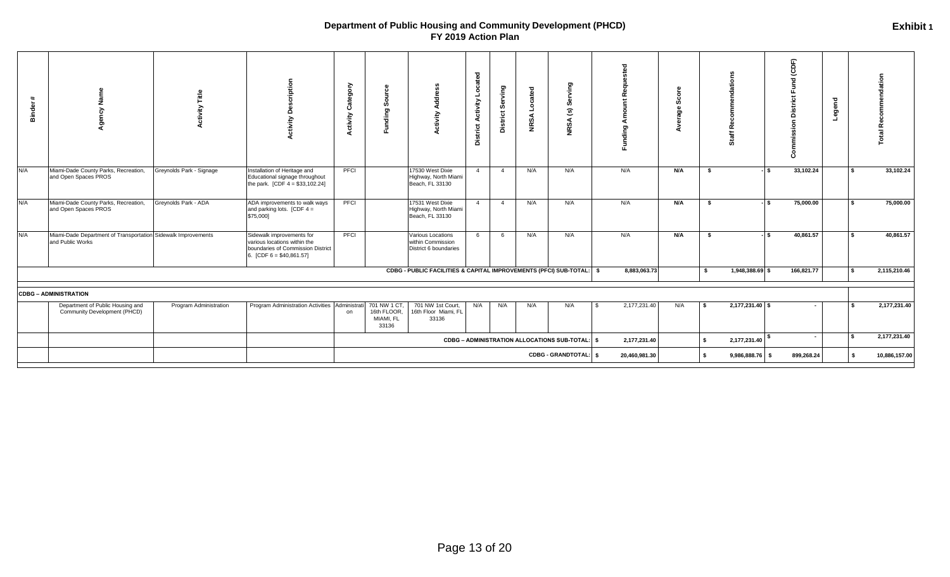| $+$<br>Binde |                                                                                   |                          | criptio<br>Õ<br>Activity                                                                                                     | ≻<br>Categor<br>ctivity | Ō<br>$\sigma$<br>₩                               | ъ<br>ctivity                                                         | Located<br>Activity<br><b>District</b> | Serving<br>District: | Located<br><b>NRSA</b> | g.<br>U)<br>$\widehat{\mathbf{c}}$<br><b>NRSA</b> | Funding       |     |      |                 |     | Бĥ<br>ତ୍ର<br>ত<br>$\overline{a}$<br>ō | Legend |           | ation<br>ಕ<br>Recomm |
|--------------|-----------------------------------------------------------------------------------|--------------------------|------------------------------------------------------------------------------------------------------------------------------|-------------------------|--------------------------------------------------|----------------------------------------------------------------------|----------------------------------------|----------------------|------------------------|---------------------------------------------------|---------------|-----|------|-----------------|-----|---------------------------------------|--------|-----------|----------------------|
| N/A          | Miami-Dade County Parks, Recreation,<br>and Open Spaces PROS                      | Greynolds Park - Signage | Installation of Heritage and<br>Educational signage throughout<br>the park. $[CDF 4 = $33, 102.24]$                          | PFCI                    |                                                  | 17530 West Dixie<br>Highway, North Miami<br>Beach, FL 33130          | $\overline{4}$                         | $\overline{4}$       | N/A                    | N/A                                               | N/A           | N/A | - \$ |                 | l s | 33,102.24                             |        | $\bullet$ | 33,102.24            |
| N/A          | Miami-Dade County Parks, Recreation,<br>and Open Spaces PROS                      | Greynolds Park - ADA     | ADA improvements to walk ways<br>and parking lots. [CDF $4 =$<br>\$75,000]                                                   | PFCI                    |                                                  | 17531 West Dixie<br>Highway, North Miami<br>Beach, FL 33130          | $\overline{4}$                         | $\overline{4}$       | N/A                    | N/A                                               | N/A           | N/A | \$   |                 | l s | 75,000.00                             |        |           | 75,000.00            |
| N/A          | Miami-Dade Department of Transportation Sidewalk Improvements<br>and Public Works |                          | Sidewalk improvements for<br>various locations within the<br>boundaries of Commission District<br>6. [CDF $6 = $40,861.57$ ] | PFCI                    |                                                  | Various Locations<br>within Commission<br>District 6 boundaries      | 6                                      | 6                    | N/A                    | N/A                                               | N/A           | N/A | - \$ |                 |     | 40,861.57                             |        |           | 40,861.57            |
|              |                                                                                   |                          |                                                                                                                              |                         |                                                  | CDBG - PUBLIC FACILITIES & CAPITAL IMPROVEMENTS (PFCI) SUB-TOTAL: \$ |                                        |                      |                        |                                                   | 8,883,063.73  |     | Ŝ.   | 1,948,388.69 \$ |     | 166,821.77                            |        | <b>S</b>  | 2,115,210.46         |
|              | <b>CDBG - ADMINISTRATION</b>                                                      |                          |                                                                                                                              |                         |                                                  |                                                                      |                                        |                      |                        |                                                   |               |     |      |                 |     |                                       |        |           |                      |
|              | Department of Public Housing and<br>Community Development (PHCD)                  | Program Administration   | Program Administration Activities Administrati                                                                               | on                      | 701 NW 1 CT<br>16th FLOOR,<br>MIAMI, FL<br>33136 | 701 NW 1st Court,<br>16th Floor Miami, FL<br>33136                   | N/A                                    | N/A                  | N/A                    | N/A                                               | 2,177,231.40  | N/A | l S  | 2,177,231.40 \$ |     |                                       |        |           | 2,177,231.40         |
|              |                                                                                   |                          |                                                                                                                              |                         |                                                  |                                                                      |                                        |                      |                        | CDBG - ADMINISTRATION ALLOCATIONS SUB-TOTAL:   \$ | 2,177,231.40  |     | s.   | 2,177,231.40    |     | $\sim$                                |        | <b>S</b>  | 2,177,231.40         |
|              |                                                                                   |                          |                                                                                                                              |                         |                                                  |                                                                      |                                        |                      |                        | CDBG - GRANDTOTAL:   \$                           | 20,460,981.30 |     |      | 9,986,888.76 \$ |     | 899,268.24                            |        | \$        | 10,886,157.00        |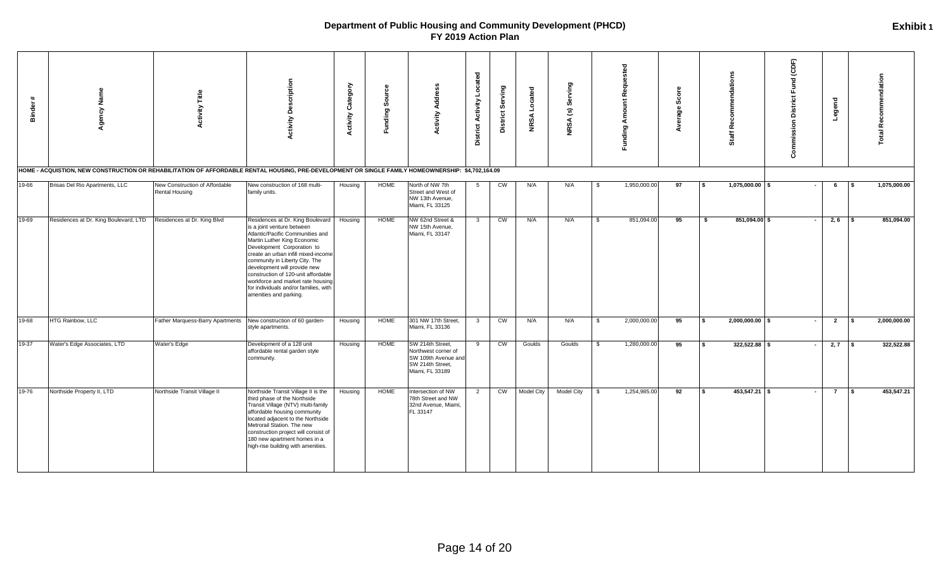| $\ddot{\phantom{1}}$<br><b>Binder</b> | Agency Name<br>HOME - ACQUISTION, NEW CONSTRUCTION OR REHABILITATION OF AFFORDABLE RENTAL HOUSING, PRE-DEVELOPMENT OR SINGLE FAMILY HOMEOWNERSHIP: \$4,702,164.09 | Title<br>ctivity<br>ā                                           | <b>Activity Description</b>                                                                                                                                                                                                                                                                                                                                                                                             | <b>Activity Category</b> | Funding Source | Addre<br>Activity                                                                                     | Located<br><b>District Activity</b> | Serving<br>District: | cated<br>ق<br><b>NRSA</b> | ying<br>శ్రీ<br>$\widehat{\mathbf{c}}$<br><b>NRSA</b> |              | Requested<br>Funding Amount | မ္တိ<br>rage | ē<br>ē<br>ၕ<br>耑<br>ō   | (CDF)<br>Fund<br><b>District</b><br>Commission | Legend         | <b>Total Recommendation</b> |              |
|---------------------------------------|-------------------------------------------------------------------------------------------------------------------------------------------------------------------|-----------------------------------------------------------------|-------------------------------------------------------------------------------------------------------------------------------------------------------------------------------------------------------------------------------------------------------------------------------------------------------------------------------------------------------------------------------------------------------------------------|--------------------------|----------------|-------------------------------------------------------------------------------------------------------|-------------------------------------|----------------------|---------------------------|-------------------------------------------------------|--------------|-----------------------------|--------------|-------------------------|------------------------------------------------|----------------|-----------------------------|--------------|
| 19-66                                 | Brisas Del Rio Apartments, LLC                                                                                                                                    | New Construction of Affordable<br><b>Rental Housing</b>         | New construction of 168 multi-<br>family units.                                                                                                                                                                                                                                                                                                                                                                         | Housing                  | HOME           | North of NW 7th<br>Street and West of<br>NW 13th Avenue,<br>Miami, FL 33125                           | 5                                   | CW                   | N/A                       | N/A                                                   | - \$         | 1,950,000.00                | 97           | 1,075,000.00 \$<br>Ŝ.   |                                                | 6              |                             | 1,075,000.00 |
| 19-69                                 | Residences at Dr. King Boulevard, LTD                                                                                                                             | Residences at Dr. King Blvd                                     | Residences at Dr. King Boulevard<br>is a joint venture between<br>Atlantic/Pacific Communities and<br>Martin Luther King Economic<br>Development Corporation to<br>create an urban infill mixed-income<br>community in Liberty City. The<br>development will provide new<br>construction of 120-unit affordable<br>workforce and market rate housing<br>for individuals and/or families, with<br>amenities and parking. | Housing                  | <b>HOME</b>    | NW 62nd Street &<br>NW 15th Avenue,<br>Miami, FL 33147                                                | $\mathbf{3}$                        | CW                   | N/A                       | N/A                                                   | \$           | 851,094.00                  | 95           | 851,094.00 \$<br>-S     |                                                | 2, 6           |                             | 851,094.00   |
| 19-68                                 | HTG Rainbow, LLC                                                                                                                                                  | Father Marquess-Barry Apartments New construction of 60 garden- | style apartments.                                                                                                                                                                                                                                                                                                                                                                                                       | Housing                  | <b>HOME</b>    | 301 NW 17th Street,<br>Miami, FL 33136                                                                | $\overline{\mathbf{3}}$             | CW                   | N/A                       | N/A                                                   | \$           | 2,000,000.00                | 95           | $2,000,000.00$ \$<br>\$ |                                                | $\overline{2}$ |                             | 2,000,000.00 |
| 19-37                                 | Water's Edge Associates, LTD                                                                                                                                      | Water's Edge                                                    | Development of a 128 unit<br>affordable rental garden style<br>community.                                                                                                                                                                                                                                                                                                                                               | Housing                  | HOME           | SW 214th Street,<br>Northwest corner of<br>SW 109th Avenue and<br>SW 214th Street,<br>Miami, FL 33189 | 9                                   | CW                   | Goulds                    | Goulds                                                | $\mathbf{s}$ | 1,280,000.00                | 95           | $322,522.88$ \$<br>\$   |                                                | $2,7$ \$       |                             | 322,522.88   |
| 19-76                                 | Northside Property II, LTD                                                                                                                                        | Northside Transit Village II                                    | Northside Transit Village II is the<br>third phase of the Northside<br>Transit Village (NTV) multi-family<br>affordable housing community<br>located adjacent to the Northside<br>Metrorail Station. The new<br>construction project will consist of<br>180 new apartment homes in a<br>high-rise building with amenities.                                                                                              | Housing                  | <b>HOME</b>    | Intersection of NW<br>78th Street and NW<br>32nd Avenue, Miami,<br>FL 33147                           | 2                                   | CW                   | <b>Model City</b>         | Model City                                            | - \$         | 1,254,985.00                | 92           | $453,547.21$ \$<br>s.   | $\sim$                                         | $\overline{7}$ | <b>S</b>                    | 453,547.21   |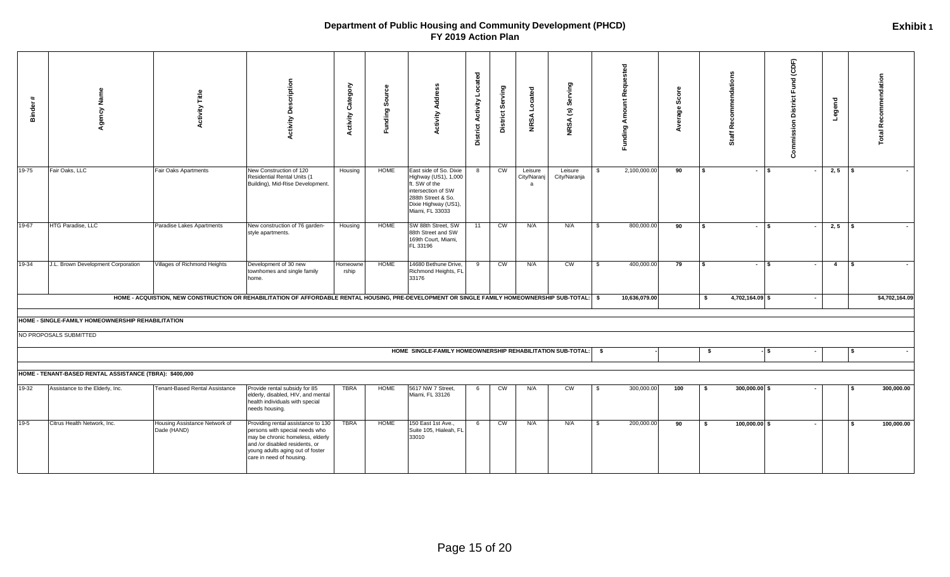| Binder | Agency Name                                             | Title<br>ctivity                                                                                                                                   | <b>Activity Description</b>                                                                                                                                                                                | <b>Activity Category</b> | ္ထိ<br>Funding Sour | Address<br><b>Activity</b>                                                                                                                             | <b>District Activity Located</b> | District Serving | <b>NRSA</b> Located         | Serving<br>$\widehat{\mathbf{S}}$<br><b>NRSA</b> |               | Funding Amount Requested | ٥<br>Sco<br>erage |      | tion<br>횽<br>Ħ<br>ŏ. | Commission District Fund (CDF) | Legend         |     | <b>Total Recommendation</b> |
|--------|---------------------------------------------------------|----------------------------------------------------------------------------------------------------------------------------------------------------|------------------------------------------------------------------------------------------------------------------------------------------------------------------------------------------------------------|--------------------------|---------------------|--------------------------------------------------------------------------------------------------------------------------------------------------------|----------------------------------|------------------|-----------------------------|--------------------------------------------------|---------------|--------------------------|-------------------|------|----------------------|--------------------------------|----------------|-----|-----------------------------|
| 19-75  | Fair Oaks, LLC                                          | Fair Oaks Apartments                                                                                                                               | New Construction of 120<br>Residential Rental Units (1<br>Building), Mid-Rise Development.                                                                                                                 | Housing                  | <b>HOME</b>         | East side of So. Dixie<br>Highway (US1), 1,000<br>ft. SW of the<br>intersection of SW<br>288th Street & So.<br>Dixie Highway (US1),<br>Miami, FL 33033 | 8                                | CW               | Leisure<br>City/Naranj<br>a | Leisure<br>City/Naranja                          | $\mathbf{s}$  | 2,100,000.00             | 90                |      | $-1$ s               |                                | $2, 5$ \$      |     |                             |
| 19-67  | HTG Paradise, LLC                                       | Paradise Lakes Apartments                                                                                                                          | New construction of 76 garden-<br>style apartments.                                                                                                                                                        | Housing                  | <b>HOME</b>         | SW 88th Street, SW<br>88th Street and SW<br>169th Court, Miami,<br>FL 33196                                                                            | 11                               | CW               | N/A                         | N/A                                              | \$            | 800,000.00               | 90                | \$.  | $-1$ s               |                                | $2, 5$ \$      |     |                             |
| 19-34  | J.L. Brown Development Corporation                      | Villages of Richmond Heights                                                                                                                       | Development of 30 new<br>townhomes and single family<br>home.                                                                                                                                              | Homeowne<br>rship        | HOME                | 14680 Bethune Drive,<br>Richmond Heights, FL<br>33176                                                                                                  | 9                                | CW               | N/A                         | CW                                               | $\mathfrak s$ | 400,000.00               | 79                | l S  | $-1$ s               | $\sim$                         | $\overline{4}$ | l S |                             |
|        |                                                         | HOME - ACQUISTION, NEW CONSTRUCTION OR REHABILITATION OF AFFORDABLE RENTAL HOUSING, PRE-DEVELOPMENT OR SINGLE FAMILY HOMEOWNERSHIP SUB-TOTAL:   \$ |                                                                                                                                                                                                            |                          |                     |                                                                                                                                                        |                                  |                  |                             |                                                  |               | 10,636,079.00            |                   | - \$ | 4,702,164.09 \$      | $\sim$                         |                |     | \$4,702,164.09              |
|        | HOME - SINGLE-FAMILY HOMEOWNERSHIP REHABILITATION       |                                                                                                                                                    |                                                                                                                                                                                                            |                          |                     |                                                                                                                                                        |                                  |                  |                             |                                                  |               |                          |                   |      |                      |                                |                |     |                             |
|        | NO PROPOSALS SUBMITTED                                  |                                                                                                                                                    |                                                                                                                                                                                                            |                          |                     |                                                                                                                                                        |                                  |                  |                             |                                                  |               |                          |                   |      |                      |                                |                |     |                             |
|        |                                                         |                                                                                                                                                    |                                                                                                                                                                                                            |                          |                     | HOME SINGLE-FAMILY HOMEOWNERSHIP REHABILITATION SUB-TOTAL:                                                                                             |                                  |                  |                             |                                                  | \$            |                          |                   | \$   |                      | -l \$                          |                | S.  |                             |
|        | HOME - TENANT-BASED RENTAL ASSISTANCE (TBRA): \$400,000 |                                                                                                                                                    |                                                                                                                                                                                                            |                          |                     |                                                                                                                                                        |                                  |                  |                             |                                                  |               |                          |                   |      |                      |                                |                |     |                             |
| 19-32  | Assistance to the Elderly, Inc.                         | Tenant-Based Rental Assistance                                                                                                                     | Provide rental subsidy for 85<br>elderly, disabled, HIV, and mental<br>health individuals with special<br>needs housing.                                                                                   | TBRA                     | HOME                | 5617 NW 7 Street,<br>Miami, FL 33126                                                                                                                   | 6                                | CW               | N/A                         | CW                                               | \$            | 300,000.00               | 100               | - \$ | 300,000.00 \$        |                                |                |     | 300,000.00                  |
| $19-5$ | Citrus Health Network, Inc.                             | Housing Assistance Network of<br>Dade (HAND)                                                                                                       | Providing rental assistance to 130<br>persons with special needs who<br>may be chronic homeless, elderly<br>and /or disabled residents, or<br>young adults aging out of foster<br>care in need of housing. | TBRA                     | HOME                | 150 East 1st Ave.,<br>Suite 105, Hialeah, FL<br>33010                                                                                                  | 6                                | CW               | N/A                         | N/A                                              | \$            | 200,000.00               | 90                | -S   | $100,000.00$ \$      | $\blacksquare$                 |                |     | 100,000.00                  |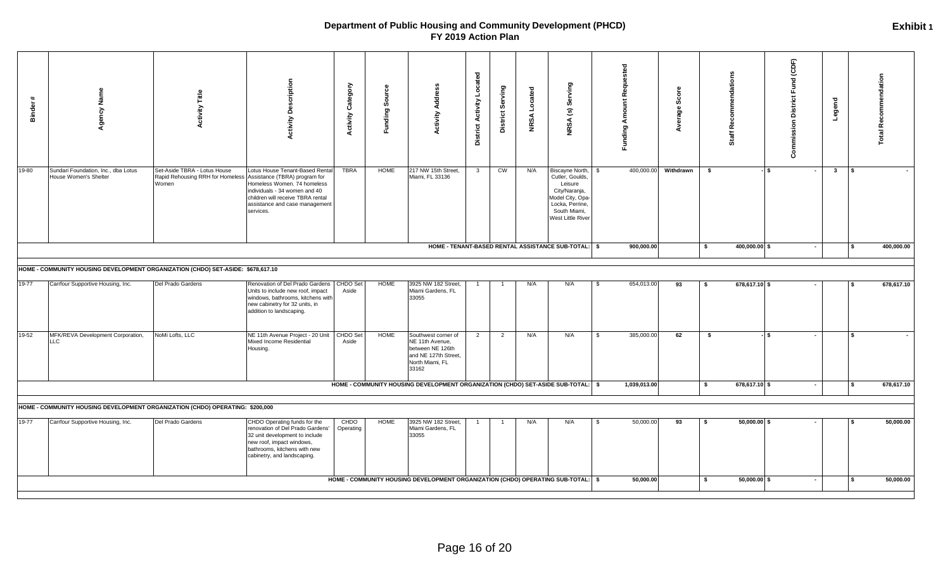| 19-80<br>Set-Aside TBRA - Lotus House<br>Lotus House Tenant-Based Rental<br>TBRA<br>HOME<br>217 NW 15th Street,<br>CW<br>400,000.00<br>Withdrawn<br>- \$<br>$\mathbf{3}$<br><b>IS</b><br>Sundari Foundation, Inc., dba Lotus<br>$\mathbf{3}$<br>N/A<br>Biscayne North,<br>\$<br>IS.<br>$\blacksquare$<br>$\sim$<br>Miami, FL 33136<br>House Women's Shelter<br>Rapid Rehousing RRH for Homeless Assistance (TBRA) program for<br>Cutler, Goulds,<br>Women<br>Homeless Women. 74 homeless<br>Leisure<br>City/Naranja,<br>individuals - 34 women and 40<br>children will receive TBRA rental<br>Model City, Opa-<br>Locka, Perrine,<br>assistance and case management<br>South Miami,<br>services.<br>West Little River<br>HOME - TENANT-BASED RENTAL ASSISTANCE SUB-TOTAL: \$<br>900,000.00<br>400,000.00 \$<br>400,000.00<br>-S<br>l S<br>$\sim$<br>HOME - COMMUNITY HOUSING DEVELOPMENT ORGANIZATION (CHDO) SET-ASIDE: \$678,617.10<br>19-77<br><b>CHDO Set</b><br><b>HOME</b><br>3925 NW 182 Street,<br>654,013.00<br>678,617.10<br>Carrfour Supportive Housing, Inc.<br>Del Prado Gardens<br>Renovation of Del Prado Gardens<br>N/A<br>N/A<br>93<br>678,617.10 \$<br>- \$<br>- \$<br><b>S</b><br>Units to include new roof, impact<br>Aside<br>Miami Gardens, FL<br>33055<br>windows, bathrooms, kitchens with<br>new cabinetry for 32 units, in<br>addition to landscaping.<br>MFK/REVA Development Corporation,<br>NoMi Lofts, LLC<br>NE 11th Avenue Project - 20 Unit<br>CHDO Set<br>HOME<br>N/A<br>N/A<br>385,000.00<br>62<br>l S<br>Southwest corner of<br>$\overline{2}$<br>$\overline{2}$<br><b>S</b><br>\$<br>- ISS<br>LLC.<br>Mixed Income Residential<br>Aside<br>NE 11th Avenue,<br>between NE 126th<br>Housing.<br>and NE 127th Street,<br>North Miami, FL<br>33162<br>HOME - COMMUNITY HOUSING DEVELOPMENT ORGANIZATION (CHDO) SET-ASIDE SUB-TOTAL: \$<br>1,039,013.00<br>678,617.10 \$<br>s.<br>l s<br>HOME - COMMUNITY HOUSING DEVELOPMENT ORGANIZATION (CHDO) OPERATING: \$200,000<br><b>HOME</b><br>19-77<br>Del Prado Gardens<br>CHDO Operating funds for the<br>CHDO<br>3925 NW 182 Street,<br>N/A<br>N/A<br>50,000.00<br>93<br>$50,000.00$ \$<br>50,000.00<br>Carrfour Supportive Housing, Inc.<br>- \$<br>- \$<br>Miami Gardens, FL<br>renovation of Del Prado Gardens'<br>Operating<br>33055<br>32 unit development to include<br>new roof, impact windows,<br>bathrooms, kitchens with new<br>cabinetry, and landscaping.<br>HOME - COMMUNITY HOUSING DEVELOPMENT ORGANIZATION (CHDO) OPERATING SUB-TOTAL:   \$<br>$50,000.00$ \$<br>50,000.00<br>50,000.00<br>- \$<br>l \$ | Binder | Agency Name | Title<br>Activity | <b>Activity Description</b> | <b>Activity Category</b> | ت<br>$\mathsf{S}\mathsf{out}$<br>Funding | Address<br>Activity | Located<br><b>District Activity</b> | District Serving | Located<br><b>NRSA</b> | Serving<br>$\widehat{\mathbf{c}}$<br><b>NRSA</b> | <b>Funding Amount Requested</b> | Score<br>Average | Recommendations<br>Staff | Commission District Fund (CDF) | Legend | <b>Total Recommendation</b> |
|-------------------------------------------------------------------------------------------------------------------------------------------------------------------------------------------------------------------------------------------------------------------------------------------------------------------------------------------------------------------------------------------------------------------------------------------------------------------------------------------------------------------------------------------------------------------------------------------------------------------------------------------------------------------------------------------------------------------------------------------------------------------------------------------------------------------------------------------------------------------------------------------------------------------------------------------------------------------------------------------------------------------------------------------------------------------------------------------------------------------------------------------------------------------------------------------------------------------------------------------------------------------------------------------------------------------------------------------------------------------------------------------------------------------------------------------------------------------------------------------------------------------------------------------------------------------------------------------------------------------------------------------------------------------------------------------------------------------------------------------------------------------------------------------------------------------------------------------------------------------------------------------------------------------------------------------------------------------------------------------------------------------------------------------------------------------------------------------------------------------------------------------------------------------------------------------------------------------------------------------------------------------------------------------------------------------------------------------------------------------------------------------------------------------------------------------------------------------------------------------------------------------------------------------------------------------------------------------------------|--------|-------------|-------------------|-----------------------------|--------------------------|------------------------------------------|---------------------|-------------------------------------|------------------|------------------------|--------------------------------------------------|---------------------------------|------------------|--------------------------|--------------------------------|--------|-----------------------------|
|                                                                                                                                                                                                                                                                                                                                                                                                                                                                                                                                                                                                                                                                                                                                                                                                                                                                                                                                                                                                                                                                                                                                                                                                                                                                                                                                                                                                                                                                                                                                                                                                                                                                                                                                                                                                                                                                                                                                                                                                                                                                                                                                                                                                                                                                                                                                                                                                                                                                                                                                                                                                       |        |             |                   |                             |                          |                                          |                     |                                     |                  |                        |                                                  |                                 |                  |                          |                                |        |                             |
|                                                                                                                                                                                                                                                                                                                                                                                                                                                                                                                                                                                                                                                                                                                                                                                                                                                                                                                                                                                                                                                                                                                                                                                                                                                                                                                                                                                                                                                                                                                                                                                                                                                                                                                                                                                                                                                                                                                                                                                                                                                                                                                                                                                                                                                                                                                                                                                                                                                                                                                                                                                                       |        |             |                   |                             |                          |                                          |                     |                                     |                  |                        |                                                  |                                 |                  |                          |                                |        |                             |
|                                                                                                                                                                                                                                                                                                                                                                                                                                                                                                                                                                                                                                                                                                                                                                                                                                                                                                                                                                                                                                                                                                                                                                                                                                                                                                                                                                                                                                                                                                                                                                                                                                                                                                                                                                                                                                                                                                                                                                                                                                                                                                                                                                                                                                                                                                                                                                                                                                                                                                                                                                                                       |        |             |                   |                             |                          |                                          |                     |                                     |                  |                        |                                                  |                                 |                  |                          |                                |        |                             |
|                                                                                                                                                                                                                                                                                                                                                                                                                                                                                                                                                                                                                                                                                                                                                                                                                                                                                                                                                                                                                                                                                                                                                                                                                                                                                                                                                                                                                                                                                                                                                                                                                                                                                                                                                                                                                                                                                                                                                                                                                                                                                                                                                                                                                                                                                                                                                                                                                                                                                                                                                                                                       |        |             |                   |                             |                          |                                          |                     |                                     |                  |                        |                                                  |                                 |                  |                          |                                |        |                             |
|                                                                                                                                                                                                                                                                                                                                                                                                                                                                                                                                                                                                                                                                                                                                                                                                                                                                                                                                                                                                                                                                                                                                                                                                                                                                                                                                                                                                                                                                                                                                                                                                                                                                                                                                                                                                                                                                                                                                                                                                                                                                                                                                                                                                                                                                                                                                                                                                                                                                                                                                                                                                       | 19-52  |             |                   |                             |                          |                                          |                     |                                     |                  |                        |                                                  |                                 |                  |                          |                                |        |                             |
|                                                                                                                                                                                                                                                                                                                                                                                                                                                                                                                                                                                                                                                                                                                                                                                                                                                                                                                                                                                                                                                                                                                                                                                                                                                                                                                                                                                                                                                                                                                                                                                                                                                                                                                                                                                                                                                                                                                                                                                                                                                                                                                                                                                                                                                                                                                                                                                                                                                                                                                                                                                                       |        |             |                   |                             |                          |                                          |                     |                                     |                  |                        |                                                  |                                 |                  |                          |                                |        | 678,617.10                  |
|                                                                                                                                                                                                                                                                                                                                                                                                                                                                                                                                                                                                                                                                                                                                                                                                                                                                                                                                                                                                                                                                                                                                                                                                                                                                                                                                                                                                                                                                                                                                                                                                                                                                                                                                                                                                                                                                                                                                                                                                                                                                                                                                                                                                                                                                                                                                                                                                                                                                                                                                                                                                       |        |             |                   |                             |                          |                                          |                     |                                     |                  |                        |                                                  |                                 |                  |                          |                                |        |                             |
|                                                                                                                                                                                                                                                                                                                                                                                                                                                                                                                                                                                                                                                                                                                                                                                                                                                                                                                                                                                                                                                                                                                                                                                                                                                                                                                                                                                                                                                                                                                                                                                                                                                                                                                                                                                                                                                                                                                                                                                                                                                                                                                                                                                                                                                                                                                                                                                                                                                                                                                                                                                                       |        |             |                   |                             |                          |                                          |                     |                                     |                  |                        |                                                  |                                 |                  |                          |                                |        |                             |
|                                                                                                                                                                                                                                                                                                                                                                                                                                                                                                                                                                                                                                                                                                                                                                                                                                                                                                                                                                                                                                                                                                                                                                                                                                                                                                                                                                                                                                                                                                                                                                                                                                                                                                                                                                                                                                                                                                                                                                                                                                                                                                                                                                                                                                                                                                                                                                                                                                                                                                                                                                                                       |        |             |                   |                             |                          |                                          |                     |                                     |                  |                        |                                                  |                                 |                  |                          |                                |        |                             |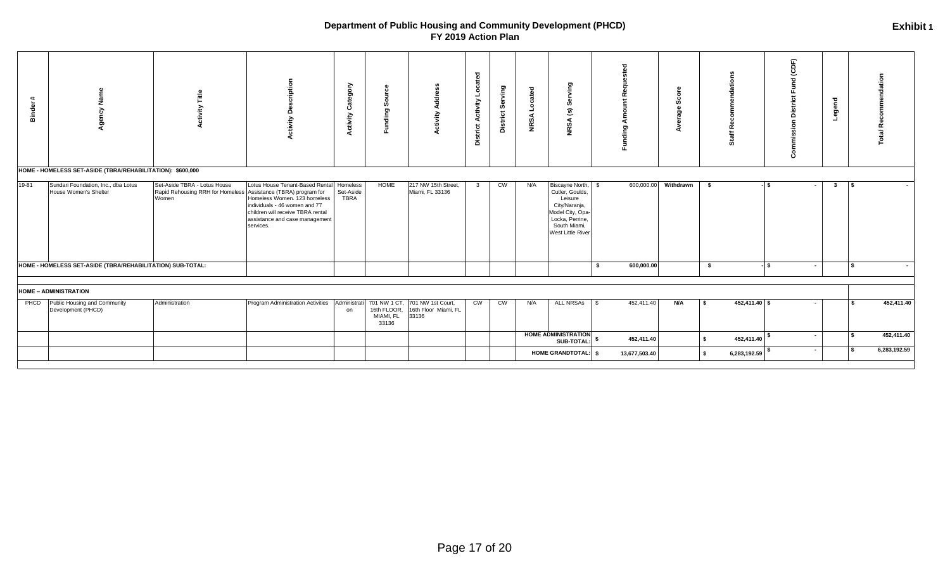| - 11:<br>Binde | řεγ                                                                                                                        |                                                                                                         | cription<br>డి<br>Activity                                                                                                                                                          | ≻<br>ō<br>Ō<br>ீ<br>ී<br><b>Activity</b> | $\circ$<br>Ø<br>ō<br>틍<br>ιī                      | ≽                                                  | Located<br><b>Activity</b><br><b>District</b> | District Serving       | ted<br>Locat<br><b>NRSA</b> | ving<br>ဖိ<br>$\mathbf{c}$<br>NRSA                                                                                                            |      | 又<br>-<br>∢<br>Funding |           |          |               | (CDF)<br>혿<br>ក<br>Com | Legend              |              | ation<br>ಕ<br>Recomme<br>$\overline{\mathfrak{m}}$ |
|----------------|----------------------------------------------------------------------------------------------------------------------------|---------------------------------------------------------------------------------------------------------|-------------------------------------------------------------------------------------------------------------------------------------------------------------------------------------|------------------------------------------|---------------------------------------------------|----------------------------------------------------|-----------------------------------------------|------------------------|-----------------------------|-----------------------------------------------------------------------------------------------------------------------------------------------|------|------------------------|-----------|----------|---------------|------------------------|---------------------|--------------|----------------------------------------------------|
| 19-81          | HOME - HOMELESS SET-ASIDE (TBRA/REHABILITATION): \$600,000<br>Sundari Foundation, Inc., dba Lotus<br>House Women's Shelter | Set-Aside TBRA - Lotus House<br>Rapid Rehousing RRH for Homeless Assistance (TBRA) program for<br>Women | Lotus House Tenant-Based Renta<br>Homeless Women. 123 homeless<br>individuals - 46 women and 77<br>children will receive TBRA rental<br>assistance and case management<br>services. | Homeless<br>Set-Aside<br><b>TBRA</b>     | <b>HOME</b>                                       | 217 NW 15th Street,<br>Miami, FL 33136             | $\mathbf{3}$                                  | $\overline{\text{cm}}$ | N/A                         | Biscayne North, \$<br>Cutler, Goulds,<br>Leisure<br>City/Naranja,<br>Model City, Opa-<br>Locka, Perrine,<br>South Miami,<br>West Little River |      | 600,000.00             | Withdrawn | \$       |               | - IS                   | $\mathbf{3}$<br>IS. |              | $\sim$                                             |
|                | HOME - HOMELESS SET-ASIDE (TBRA/REHABILITATION) SUB-TOTAL:                                                                 |                                                                                                         |                                                                                                                                                                                     |                                          |                                                   |                                                    |                                               |                        |                             |                                                                                                                                               | - \$ | 600,000.00             |           | \$       |               | l \$<br>$\sim$         |                     | $\mathbf{S}$ |                                                    |
|                | <b>HOME - ADMINISTRATION</b>                                                                                               |                                                                                                         |                                                                                                                                                                                     |                                          |                                                   |                                                    |                                               |                        |                             |                                                                                                                                               |      |                        |           |          |               |                        |                     |              |                                                    |
| PHCD           | Public Housing and Community<br>Development (PHCD)                                                                         | Administration                                                                                          | Program Administration Activities                                                                                                                                                   | Administrati<br>on                       | 701 NW 1 CT,<br>16th FLOOR,<br>MIAMI, FL<br>33136 | 701 NW 1st Court,<br>16th Floor Miami, FL<br>33136 | $\overline{\text{cm}}$                        | $\overline{\text{cm}}$ | N/A                         | <b>ALL NRSAs</b>                                                                                                                              | l \$ | 452,411.40             | N/A       | <b>S</b> | 452,411.40 \$ | $\sim$                 |                     |              | 452,411.40                                         |
|                |                                                                                                                            |                                                                                                         |                                                                                                                                                                                     |                                          |                                                   |                                                    |                                               |                        |                             | <b>HOME ADMINISTRATION</b><br>SUB-TOTAL:                                                                                                      |      | 452,411.40             |           |          | 452,411.40    | $\sim$                 |                     |              | 452,411.40                                         |
|                |                                                                                                                            |                                                                                                         |                                                                                                                                                                                     |                                          |                                                   |                                                    |                                               |                        |                             | HOME GRANDTOTAL: \$                                                                                                                           |      | 13,677,503.40          |           | s.       | 6,283,192.59  | $\sim$                 |                     | <b>S</b>     | 6,283,192.59                                       |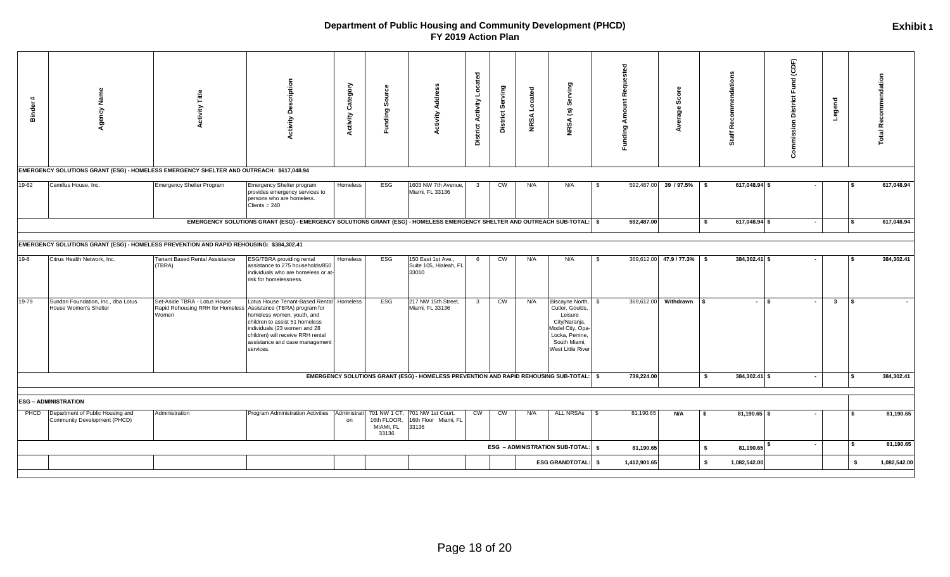| $\ddot{\phantom{1}}$<br>Binder | Name<br>Agency<br>EMERGENCY SOLUTIONS GRANT (ESG) - HOMELESS EMERGENCY SHELTER AND OUTREACH: \$617,048.94 | <b>Activity Title</b>                                                                                   | <b>Activity Description</b>                                                                                                                                                                                         | Category<br><b>Activity</b> | ပ္ပိ<br>ஃ<br>unding<br>ш.                        | <b>Activity Address</b>                               | <b>District Activity Located</b> | District Serving | Serving<br>$\widehat{\mathbf{c}}$<br><b>NRSA</b><br><b>NRSA</b>                                                                                  |              | Funding Amount Requested | Φ<br>ō<br>ુડ<br>verage | mendatio<br>Ē<br>٦ĕ<br>Staff | Fund (CDF)<br><b>District</b><br>Commission | Legend                                  | Total Recommendation |
|--------------------------------|-----------------------------------------------------------------------------------------------------------|---------------------------------------------------------------------------------------------------------|---------------------------------------------------------------------------------------------------------------------------------------------------------------------------------------------------------------------|-----------------------------|--------------------------------------------------|-------------------------------------------------------|----------------------------------|------------------|--------------------------------------------------------------------------------------------------------------------------------------------------|--------------|--------------------------|------------------------|------------------------------|---------------------------------------------|-----------------------------------------|----------------------|
| 19-62                          | Camillus House, Inc.                                                                                      | Emergency Shelter Program                                                                               | Emergency Shelter program<br>provides emergency services to<br>persons who are homeless.                                                                                                                            | Homeless                    | ESG                                              | 1603 NW 7th Avenue,<br>Miami, FL 33136                | 3                                | CW               | N/A<br>N/A                                                                                                                                       | - \$         | 592,487.00               | 39 / 97.5%             | 617,048.94 \$<br>- \$        |                                             |                                         | 617,048.94           |
|                                |                                                                                                           |                                                                                                         | $Clients = 240$<br>EMERGENCY SOLUTIONS GRANT (ESG) - EMERGENCY SOLUTIONS GRANT (ESG) - HOMELESS EMERGENCY SHELTER AND OUTREACH SUB-TOTAL:   \$                                                                      |                             |                                                  |                                                       |                                  |                  |                                                                                                                                                  |              | 592,487.00               |                        | 617,048.94 \$<br>\$          | $\sim$                                      |                                         | 617,048.94           |
|                                | EMERGENCY SOLUTIONS GRANT (ESG) - HOMELESS PREVENTION AND RAPID REHOUSING: \$384,302.41                   |                                                                                                         |                                                                                                                                                                                                                     |                             |                                                  |                                                       |                                  |                  |                                                                                                                                                  |              |                          |                        |                              |                                             |                                         |                      |
| $19 - 8$                       | Citrus Health Network, Inc.                                                                               | Tenant Based Rental Assistance<br>(TBRA)                                                                | <b>ESG/TBRA</b> providing rental<br>assistance to 275 households/850<br>individuals who are homeless or at-<br>risk for homelessness.                                                                               | Homeless                    | ESG                                              | 150 East 1st Ave.,<br>Suite 105, Hialeah, FL<br>33010 | 6                                | <b>CW</b>        | N/A<br>N/A                                                                                                                                       | $\mathbb{S}$ | 369,612.00               | 47.9 / 77.3% \$        | 384,302.41 \$                |                                             |                                         | 384,302.41           |
| 19-79                          | Sundari Foundation, Inc., dba Lotus<br>House Women's Shelter                                              | Set-Aside TBRA - Lotus House<br>Rapid Rehousing RRH for Homeless Assistance (TBRA) program for<br>Women | Lotus House Tenant-Based Rental<br>homeless women, youth, and<br>children to assist 51 homeless<br>individuals (23 women and 28<br>children) will receive RRH rental<br>assistance and case management<br>services. | Homeless                    | ESG                                              | 217 NW 15th Street,<br>Miami, FL 33136                | $\overline{\mathbf{3}}$          | CW               | N/A<br>Biscayne North,<br>Cutler, Goulds,<br>Leisure<br>City/Naranja,<br>Model City, Opa<br>Locka, Perrine,<br>South Miami,<br>West Little River |              | 369,612.00               | Withdrawn              | $-1$ s<br>l \$               |                                             | $\mathbf{3}$<br>$\overline{\mathbf{s}}$ |                      |
|                                |                                                                                                           |                                                                                                         |                                                                                                                                                                                                                     |                             |                                                  |                                                       |                                  |                  | EMERGENCY SOLUTIONS GRANT (ESG) - HOMELESS PREVENTION AND RAPID REHOUSING SUB-TOTAL:   \$                                                        |              | 739,224.00               |                        | 384,302.41 \$<br>- \$        | $\sim$                                      | l S                                     | 384,302.41           |
|                                | <b>ESG - ADMINISTRATION</b>                                                                               |                                                                                                         |                                                                                                                                                                                                                     |                             |                                                  |                                                       |                                  |                  |                                                                                                                                                  |              |                          |                        |                              |                                             |                                         |                      |
| PHCD                           | Department of Public Housing and<br>Community Development (PHCD)                                          | Administration                                                                                          | Program Administration Activities   Administrati                                                                                                                                                                    | on                          | 701 NW 1 CT<br>16th FLOOR,<br>MIAMI, FL<br>33136 | 701 NW 1st Court,<br>16th Floor Miami, FL<br>33136    | CW                               | CW               | ALL NRSAs \ \$<br>N/A                                                                                                                            |              | 81,190.65                | N/A                    | 81,190.65 \$<br>$\sqrt{5}$   |                                             |                                         | 81,190.65            |
|                                |                                                                                                           |                                                                                                         |                                                                                                                                                                                                                     |                             |                                                  |                                                       |                                  |                  | ESG - ADMINISTRATION SUB-TOTAL:   \$                                                                                                             |              | 81,190.65                |                        | \$<br>81,190.65              | $\sim$                                      | l S                                     | 81,190.65            |
|                                |                                                                                                           |                                                                                                         |                                                                                                                                                                                                                     |                             |                                                  |                                                       |                                  |                  | <b>ESG GRANDTOTAL:</b>                                                                                                                           | - \$         | 1,412,901.65             |                        | S.<br>1,082,542.00           |                                             | \$                                      | 1,082,542.00         |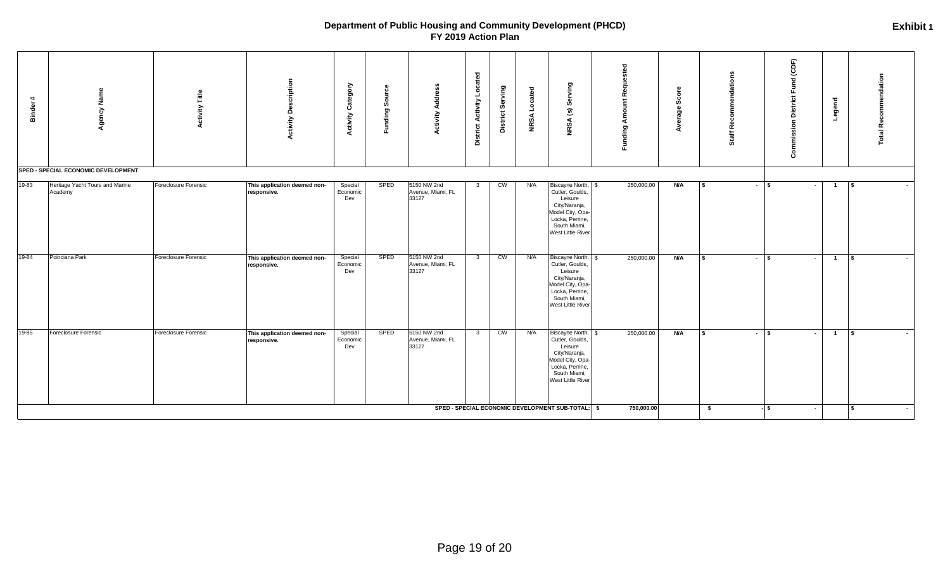| $+1$<br><b>Binder</b> | Agency Name<br>SPED - SPECIAL ECONOMIC DEVELOPMENT | Title<br>Activity    | <b>Activity Description</b>                 | Category<br><b>Activity</b> | യ<br>Sourc<br>Funding | Address<br>Activity                       | Located<br><b>District Activity</b> | Serving<br>District:   | Located<br><b>NRSA</b> | ying<br>န္တ<br>$\widehat{\mathbf{c}}$<br><b>NRSA</b>                                                                                          | <b>Funding Amount Requested</b> | Score<br>Average | commendations<br>ēم<br>Staff <sup>1</sup> | Commission District Fund (CDF) | Legend                   | Total Recommendation                     |
|-----------------------|----------------------------------------------------|----------------------|---------------------------------------------|-----------------------------|-----------------------|-------------------------------------------|-------------------------------------|------------------------|------------------------|-----------------------------------------------------------------------------------------------------------------------------------------------|---------------------------------|------------------|-------------------------------------------|--------------------------------|--------------------------|------------------------------------------|
| 19-83                 | Heritage Yacht Tours and Marine<br>Academy         | Foreclosure Forensic | This application deemed non-<br>responsive. | Special<br>Economic<br>Dev  | SPED                  | 5150 NW 2nd<br>Avenue, Miami, FL<br>33127 | $\overline{3}$                      | CW                     | N/A                    | Biscayne North, \$<br>Cutler, Goulds,<br>Leisure<br>City/Naranja,<br>Model City, Opa-<br>Locka, Perrine,<br>South Miami,<br>West Little River | 250,000.00                      | N/A              | <b>S</b>                                  | $-1$ s                         | $\overline{1}$           | $\sqrt{2}$                               |
| 19-84                 | Poinciana Park                                     | Foreclosure Forensic | This application deemed non-<br>responsive. | Special<br>Economic<br>Dev  | SPED                  | 5150 NW 2nd<br>Avenue, Miami, FL<br>33127 | $\overline{\mathbf{3}}$             | $\overline{\text{cm}}$ | N/A                    | Biscayne North, \$<br>Cutler, Goulds,<br>Leisure<br>City/Naranja,<br>Model City, Opa-<br>Locka, Perrine,<br>South Miami,<br>West Little River | 250,000.00                      | N/A              | <b>S</b>                                  | $\mathsf{I}$<br>$\sim$         | $\blacksquare$<br>$\sim$ | $\sqrt{3}$                               |
| 19-85                 | Foreclosure Forensic                               | Foreclosure Forensic | This application deemed non-<br>responsive. | Special<br>Economic<br>Dev  | SPED                  | 5150 NW 2nd<br>Avenue, Miami, FL<br>33127 | $\overline{\mathbf{3}}$             | <b>CM</b>              | N/A                    | Biscayne North, \$<br>Cutler, Goulds,<br>Leisure<br>City/Naranja,<br>Model City, Opa-<br>Locka, Perrine,<br>South Miami,<br>West Little River | 250,000.00                      | N/A              | $\mathbf{s}$                              | $-1$ \$                        | $\blacksquare$<br>$\sim$ | $\sqrt{5}$                               |
|                       |                                                    |                      |                                             |                             |                       |                                           |                                     |                        |                        | SPED - SPECIAL ECONOMIC DEVELOPMENT SUB-TOTAL: \$                                                                                             | 750,000.00                      |                  | \$                                        | $-1$ \$                        | $\sim$                   | $\mathbf{s}$<br>$\overline{\phantom{a}}$ |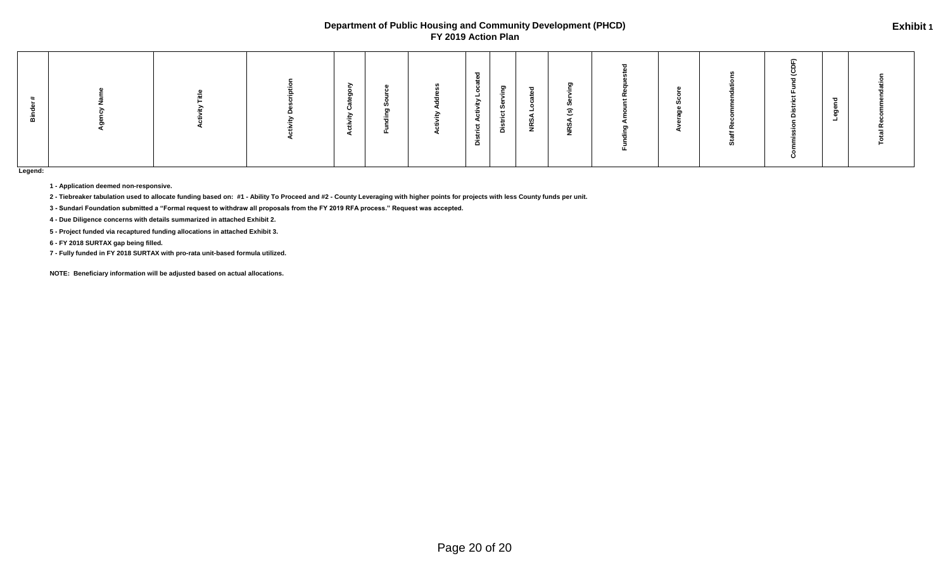|  |  |  |  |  |  | ≩ | ്<br>__<br>ें हैं।<br>ੰਦੇ<br>strict | פ<br>თ് —<br>.<br>å | $\overline{\phantom{a}}$<br><b>DES</b> | ರಾ<br>$\mathbf{r}$<br><b>NRSA</b> |  |  |  |  | <u>_</u> |  |
|--|--|--|--|--|--|---|-------------------------------------|---------------------|----------------------------------------|-----------------------------------|--|--|--|--|----------|--|
|--|--|--|--|--|--|---|-------------------------------------|---------------------|----------------------------------------|-----------------------------------|--|--|--|--|----------|--|

**Legend:**

**1 - Application deemed non-responsive.** 

**2 - Tiebreaker tabulation used to allocate funding based on: #1 - Ability To Proceed and #2 - County Leveraging with higher points for projects with less County funds per unit.**

**3 - Sundari Foundation submitted a "Formal request to withdraw all proposals from the FY 2019 RFA process." Request was accepted.**

**4 - Due Diligence concerns with details summarized in attached Exhibit 2.**

**5 - Project funded via recaptured funding allocations in attached Exhibit 3.**

**6 - FY 2018 SURTAX gap being filled.**

**7 - Fully funded in FY 2018 SURTAX with pro-rata unit-based formula utilized.**

**NOTE: Beneficiary information will be adjusted based on actual allocations.**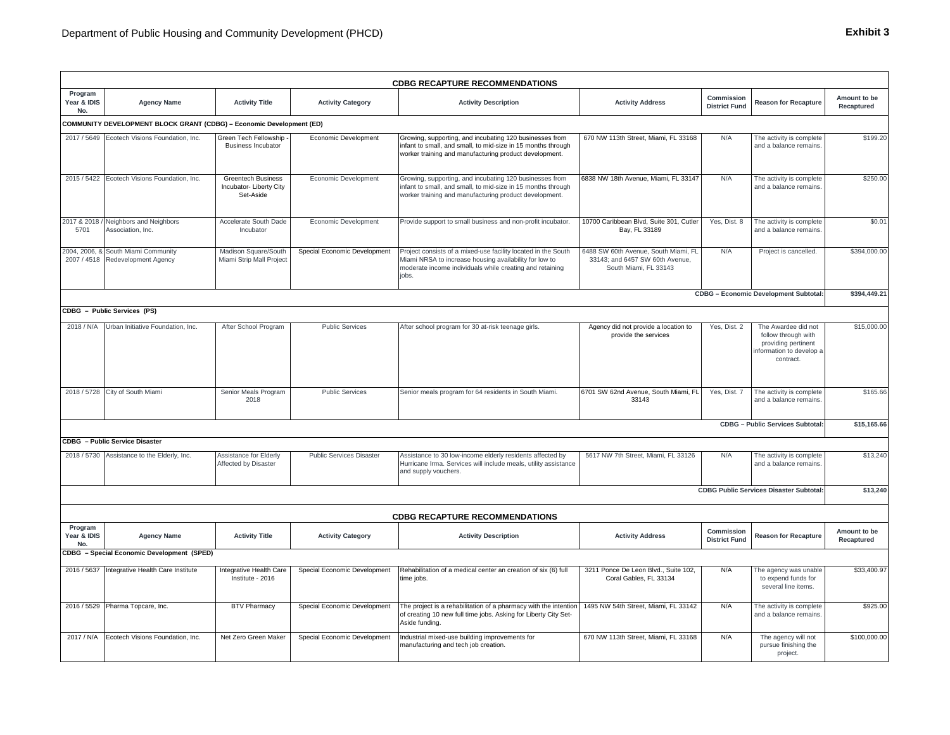|                               |                                                                         |                                                                   |                              | <b>CDBG RECAPTURE RECOMMENDATIONS</b>                                                                                                                                                        |                                                                                                  |                                    |                                                                                                           |                            |
|-------------------------------|-------------------------------------------------------------------------|-------------------------------------------------------------------|------------------------------|----------------------------------------------------------------------------------------------------------------------------------------------------------------------------------------------|--------------------------------------------------------------------------------------------------|------------------------------------|-----------------------------------------------------------------------------------------------------------|----------------------------|
| Program<br>Year & IDIS<br>No. | <b>Agency Name</b>                                                      | <b>Activity Title</b>                                             | <b>Activity Category</b>     | <b>Activity Description</b>                                                                                                                                                                  | <b>Activity Address</b>                                                                          | Commission<br><b>District Fund</b> | <b>Reason for Recapture</b>                                                                               | Amount to be<br>Recaptured |
|                               | COMMUNITY DEVELOPMENT BLOCK GRANT (CDBG) - Economic Development (ED)    |                                                                   |                              |                                                                                                                                                                                              |                                                                                                  |                                    |                                                                                                           |                            |
|                               | 2017 / 5649 Ecotech Visions Foundation, Inc.                            | <b>Sreen Tech Fellowship</b><br><b>Business Incubator</b>         | Economic Development         | Growing, supporting, and incubating 120 businesses from<br>infant to small, and small, to mid-size in 15 months through<br>worker training and manufacturing product development.            | 670 NW 113th Street, Miami, FL 33168                                                             | N/A                                | The activity is complete<br>and a balance remains.                                                        | \$199.20                   |
|                               | 2015 / 5422 Ecotech Visions Foundation, Inc.                            | <b>Greentech Business</b><br>Incubator- Liberty City<br>Set-Aside | Economic Development         | Growing, supporting, and incubating 120 businesses from<br>infant to small, and small, to mid-size in 15 months through<br>worker training and manufacturing product development.            | 6838 NW 18th Avenue, Miami, FL 33147                                                             | N/A                                | The activity is complete<br>and a balance remains.                                                        | \$250.00                   |
| 5701                          | 2017 & 2018 / Neighbors and Neighbors<br>Association, Inc.              | Accelerate South Dade<br>Incubator                                | Economic Development         | Provide support to small business and non-profit incubator.                                                                                                                                  | 10700 Caribbean Blvd, Suite 301, Cutler<br>Bay, FL 33189                                         | Yes, Dist. 8                       | The activity is complete<br>and a balance remains.                                                        | \$0.01                     |
|                               | 2004, 2006, & South Miami Community<br>2007 / 4518 Redevelopment Agency | Madison Square/South<br>Miami Strip Mall Project                  | Special Economic Development | Project consists of a mixed-use facility located in the South<br>Miami NRSA to increase housing availability for low to<br>moderate income individuals while creating and retaining<br>jobs. | 6488 SW 60th Avenue, South Miami, FL<br>33143; and 6457 SW 60th Avenue,<br>South Miami, FL 33143 | N/A                                | Project is cancelled.                                                                                     | \$394,000.00               |
|                               |                                                                         |                                                                   |                              |                                                                                                                                                                                              |                                                                                                  |                                    | CDBG - Economic Development Subtotal:                                                                     | \$394,449.21               |
|                               | CDBG - Public Services (PS)                                             |                                                                   |                              |                                                                                                                                                                                              |                                                                                                  |                                    |                                                                                                           |                            |
| 2018 / N/A                    | Urban Initiative Foundation, Inc.                                       | After School Program                                              | <b>Public Services</b>       | After school program for 30 at-risk teenage girls.                                                                                                                                           | Agency did not provide a location to<br>provide the services                                     | Yes, Dist. 2                       | The Awardee did not<br>follow through with<br>providing pertinent<br>nformation to develop a<br>contract. | \$15,000.00                |
|                               | 2018 / 5728 City of South Miami                                         | Senior Meals Program<br>2018                                      | <b>Public Services</b>       | Senior meals program for 64 residents in South Miami.                                                                                                                                        | 6701 SW 62nd Avenue, South Miami, FL<br>33143                                                    | Yes, Dist. 7                       | The activity is complete<br>and a balance remains.                                                        | \$165.66                   |
|                               |                                                                         |                                                                   |                              |                                                                                                                                                                                              |                                                                                                  |                                    | CDBG - Public Services Subtotal:                                                                          | \$15,165.66                |
|                               | <b>CDBG</b> - Public Service Disaster                                   |                                                                   |                              |                                                                                                                                                                                              |                                                                                                  |                                    |                                                                                                           |                            |
|                               | 2018 / 5730 Assistance to the Elderly, Inc.                             | Assistance for Elderly<br>Affected by Disaster                    | Public Services Disaster     | Assistance to 30 low-income elderly residents affected by<br>Hurricane Irma. Services will include meals, utility assistance<br>and supply vouchers.                                         | 5617 NW 7th Street, Miami, FL 33126                                                              | N/A                                | The activity is complete<br>and a balance remains.                                                        | \$13,240                   |
|                               |                                                                         |                                                                   |                              |                                                                                                                                                                                              |                                                                                                  |                                    | <b>CDBG Public Services Disaster Subtotal:</b>                                                            | \$13,240                   |
|                               |                                                                         |                                                                   |                              | <b>CDBG RECAPTURE RECOMMENDATIONS</b>                                                                                                                                                        |                                                                                                  |                                    |                                                                                                           |                            |
| Program<br>Year & IDIS<br>No. | <b>Agency Name</b>                                                      | <b>Activity Title</b>                                             | <b>Activity Category</b>     | <b>Activity Description</b>                                                                                                                                                                  | <b>Activity Address</b>                                                                          | Commission<br><b>District Fund</b> | <b>Reason for Recapture</b>                                                                               | Amount to be<br>Recaptured |
|                               | CDBG - Special Economic Development (SPED)                              |                                                                   |                              |                                                                                                                                                                                              |                                                                                                  |                                    |                                                                                                           |                            |
|                               | 2016 / 5637 Integrative Health Care Institute                           | Integrative Health Care<br>Institute - 2016                       | Special Economic Development | Rehabilitation of a medical center an creation of six (6) full<br>time jobs.                                                                                                                 | 3211 Ponce De Leon Blvd., Suite 102,<br>Coral Gables, FL 33134                                   | N/A                                | The agency was unable<br>to expend funds for<br>several line items.                                       | \$33,400.97                |
|                               | 2016 / 5529 Pharma Topcare, Inc.                                        | <b>BTV Pharmacy</b>                                               | Special Economic Development | The project is a rehabilitation of a pharmacy with the intention<br>of creating 10 new full time jobs. Asking for Liberty City Set-<br>Aside funding.                                        | 1495 NW 54th Street, Miami, FL 33142                                                             | N/A                                | The activity is complete<br>and a balance remains.                                                        | \$925.00                   |
|                               | 2017 / N/A Ecotech Visions Foundation, Inc.                             | Net Zero Green Maker                                              | Special Economic Development | Industrial mixed-use building improvements for<br>manufacturing and tech job creation.                                                                                                       | 670 NW 113th Street, Miami, FL 33168                                                             | N/A                                | The agency will not<br>pursue finishing the<br>project.                                                   | \$100,000.00               |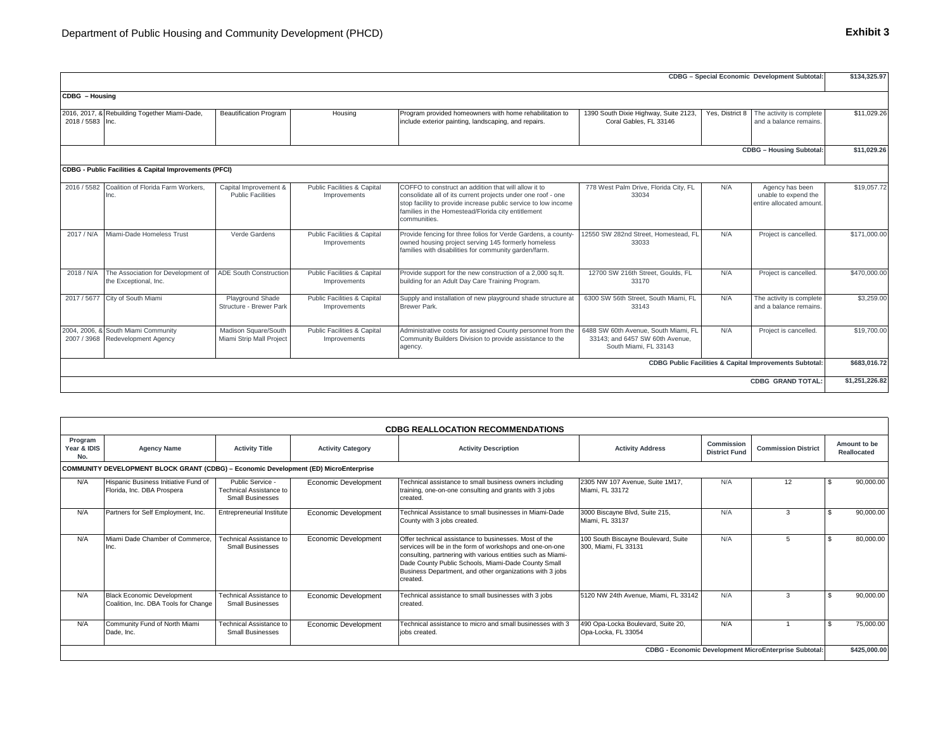|                  |                                                                         |                                                   |                                             |                                                                                                                                                                                                                                                              |                                                                                                  |                 | CDBG - Special Economic Development Subtotal:                       | \$134,325.97   |
|------------------|-------------------------------------------------------------------------|---------------------------------------------------|---------------------------------------------|--------------------------------------------------------------------------------------------------------------------------------------------------------------------------------------------------------------------------------------------------------------|--------------------------------------------------------------------------------------------------|-----------------|---------------------------------------------------------------------|----------------|
| CDBG - Housing   |                                                                         |                                                   |                                             |                                                                                                                                                                                                                                                              |                                                                                                  |                 |                                                                     |                |
| 2018 / 5583 Inc. | 2016, 2017, & Rebuilding Together Miami-Dade,                           | <b>Beautification Program</b>                     | Housing                                     | Program provided homeowners with home rehabilitation to<br>include exterior painting, landscaping, and repairs.                                                                                                                                              | 1390 South Dixie Highway, Suite 2123,<br>Coral Gables, FL 33146                                  | Yes, District 8 | The activity is complete<br>and a balance remains.                  | \$11,029.26    |
|                  |                                                                         |                                                   |                                             |                                                                                                                                                                                                                                                              |                                                                                                  |                 | <b>CDBG - Housing Subtotal:</b>                                     | \$11,029.26    |
|                  | CDBG - Public Facilities & Capital Improvements (PFCI)                  |                                                   |                                             |                                                                                                                                                                                                                                                              |                                                                                                  |                 |                                                                     |                |
|                  | 2016 / 5582 Coalition of Florida Farm Workers.<br>Inc.                  | Capital Improvement &<br><b>Public Facilities</b> | Public Facilities & Capital<br>Improvements | COFFO to construct an addition that will allow it to<br>consolidate all of its current projects under one roof - one<br>stop facility to provide increase public service to low income<br>families in the Homestead/Florida city entitlement<br>communities. | 778 West Palm Drive, Florida City, FL<br>33034                                                   | N/A             | Agency has been<br>unable to expend the<br>entire allocated amount. | \$19,057.72    |
| 2017 / N/A       | Miami-Dade Homeless Trust                                               | Verde Gardens                                     | Public Facilities & Capital<br>Improvements | Provide fencing for three folios for Verde Gardens, a county<br>owned housing project serving 145 formerly homeless<br>families with disabilities for community garden/farm.                                                                                 | 12550 SW 282nd Street, Homestead, FL<br>33033                                                    | N/A             | Project is cancelled.                                               | \$171,000.00   |
| 2018 / N/A       | The Association for Development of<br>the Exceptional, Inc.             | <b>ADE South Construction</b>                     | Public Facilities & Capital<br>Improvements | Provide support for the new construction of a 2,000 sq.ft.<br>building for an Adult Day Care Training Program.                                                                                                                                               | 12700 SW 216th Street, Goulds, FL<br>33170                                                       | N/A             | Project is cancelled.                                               | \$470,000.00   |
|                  | 2017 / 5677 City of South Miami                                         | Playground Shade<br>Structure - Brewer Park       | Public Facilities & Capital<br>Improvements | Supply and installation of new playground shade structure a<br><b>Brewer Park.</b>                                                                                                                                                                           | 6300 SW 56th Street, South Miami, FL<br>33143                                                    | N/A             | The activity is complete<br>and a balance remains.                  | \$3,259.00     |
|                  | 2004, 2006, & South Miami Community<br>2007 / 3968 Redevelopment Agency | Madison Square/South<br>Miami Strip Mall Project  | Public Facilities & Capital<br>Improvements | Administrative costs for assigned County personnel from the<br>Community Builders Division to provide assistance to the<br>agency.                                                                                                                           | 6488 SW 60th Avenue, South Miami, FL<br>33143; and 6457 SW 60th Avenue,<br>South Miami, FL 33143 | N/A             | Project is cancelled.                                               | \$19,700.00    |
|                  |                                                                         |                                                   |                                             |                                                                                                                                                                                                                                                              |                                                                                                  |                 | <b>CDBG Public Facilities &amp; Capital Improvements Subtotal:</b>  | \$683,016.72   |
|                  |                                                                         |                                                   |                                             |                                                                                                                                                                                                                                                              |                                                                                                  |                 | <b>CDBG GRAND TOTAL:</b>                                            | \$1,251,226.82 |

|                               |                                                                                      |                                                                 |                          | <b>CDBG REALLOCATION RECOMMENDATIONS</b>                                                                                                                                                                                                                                                                        |                                                             |                                    |                            |  |                             |  |  |  |  |
|-------------------------------|--------------------------------------------------------------------------------------|-----------------------------------------------------------------|--------------------------|-----------------------------------------------------------------------------------------------------------------------------------------------------------------------------------------------------------------------------------------------------------------------------------------------------------------|-------------------------------------------------------------|------------------------------------|----------------------------|--|-----------------------------|--|--|--|--|
| Program<br>Year & IDIS<br>No. | <b>Agency Name</b>                                                                   | <b>Activity Title</b>                                           | <b>Activity Category</b> | <b>Activity Description</b>                                                                                                                                                                                                                                                                                     | <b>Activity Address</b>                                     | Commission<br><b>District Fund</b> | <b>Commission District</b> |  | Amount to be<br>Reallocated |  |  |  |  |
|                               | COMMUNITY DEVELOPMENT BLOCK GRANT (CDBG) - Economic Development (ED) MicroEnterprise |                                                                 |                          |                                                                                                                                                                                                                                                                                                                 |                                                             |                                    |                            |  |                             |  |  |  |  |
| N/A                           | Hispanic Business Initiative Fund of<br>Florida, Inc. DBA Prospera                   | Public Service -<br>Technical Assistance to<br>Small Businesses | Economic Development     | Technical assistance to small business owners including<br>training, one-on-one consulting and grants with 3 jobs<br>created.                                                                                                                                                                                   | 2305 NW 107 Avenue, Suite 1M17,<br>Miami, FL 33172          | N/A                                | 12                         |  | 90,000.00                   |  |  |  |  |
| N/A                           | Partners for Self Employment, Inc.                                                   | Entrepreneurial Institute                                       | Economic Development     | Technical Assistance to small businesses in Miami-Dade<br>County with 3 jobs created.                                                                                                                                                                                                                           | 3000 Biscayne Blvd, Suite 215,<br>Miami. FL 33137           | N/A                                | $\mathcal{R}$              |  | 90,000.00                   |  |  |  |  |
| N/A                           | Miami Dade Chamber of Commerce.<br>Inc.                                              | Technical Assistance to<br><b>Small Businesses</b>              | Economic Development     | Offer technical assistance to businesses. Most of the<br>services will be in the form of workshops and one-on-one<br>consulting, partnering with various entities such as Miami-<br>Dade County Public Schools, Miami-Dade County Small<br>Business Department, and other organizations with 3 jobs<br>created. | 100 South Biscayne Boulevard, Suite<br>300. Miami. FL 33131 | N/A                                |                            |  | 80,000.00                   |  |  |  |  |
| N/A                           | <b>Black Economic Development</b><br>Coalition, Inc. DBA Tools for Change            | Technical Assistance to<br><b>Small Businesses</b>              | Economic Development     | Technical assistance to small businesses with 3 jobs<br>created.                                                                                                                                                                                                                                                | 5120 NW 24th Avenue, Miami, FL 33142                        | N/A                                | $\mathcal{R}$              |  | 90,000.00                   |  |  |  |  |
| N/A                           | Community Fund of North Miami<br>Dade, Inc.                                          | Technical Assistance to<br><b>Small Businesses</b>              | Economic Development     | Technical assistance to micro and small businesses with 3<br>jobs created.                                                                                                                                                                                                                                      | 490 Opa-Locka Boulevard, Suite 20,<br>Opa-Locka, FL 33054   | N/A                                |                            |  | 75,000.00                   |  |  |  |  |
|                               | \$425,000.00<br><b>CDBG - Economic Development MicroEnterprise Subtotal:</b>         |                                                                 |                          |                                                                                                                                                                                                                                                                                                                 |                                                             |                                    |                            |  |                             |  |  |  |  |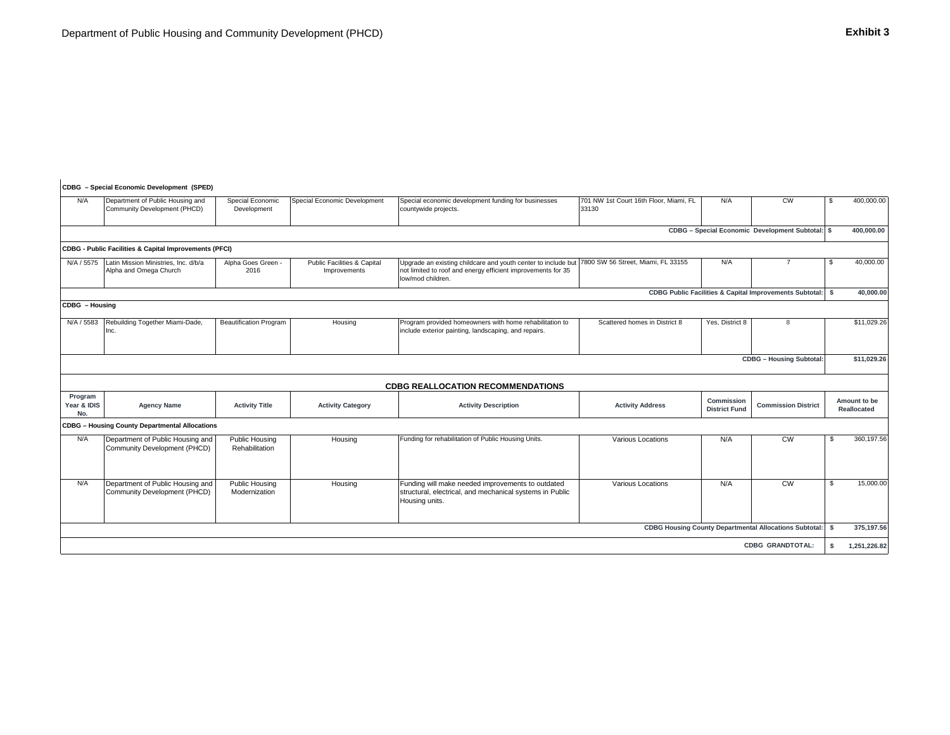#### **CDBG – Special Economic Development (SPED)**

| N/A                           | Department of Public Housing and<br>Community Development (PHCD)  | Special Economic<br>Development  | <b>Special Economic Development</b>                    | Special economic development funding for businesses<br>countywide projects.                                                                                                           | 701 NW 1st Court 16th Floor, Miami, FL<br>33130 | N/A                                | <b>CW</b>                                                     | -S       | 400,000.00                         |
|-------------------------------|-------------------------------------------------------------------|----------------------------------|--------------------------------------------------------|---------------------------------------------------------------------------------------------------------------------------------------------------------------------------------------|-------------------------------------------------|------------------------------------|---------------------------------------------------------------|----------|------------------------------------|
|                               |                                                                   |                                  |                                                        |                                                                                                                                                                                       |                                                 |                                    | CDBG - Special Economic Development Subtotal: \$              |          | 400,000.00                         |
|                               | <b>CDBG - Public Facilities &amp; Capital Improvements (PFCI)</b> |                                  |                                                        |                                                                                                                                                                                       |                                                 |                                    |                                                               |          |                                    |
| N/A / 5575                    | Latin Mission Ministries, Inc. d/b/a<br>Alpha and Omega Church    | Alpha Goes Green<br>2016         | <b>Public Facilities &amp; Capital</b><br>Improvements | Upgrade an existing childcare and youth center to include but 7800 SW 56 Street, Miami, FL 33155<br>not limited to roof and energy efficient improvements for 35<br>low/mod children. |                                                 | N/A                                | $\overline{7}$                                                |          | 40,000.00                          |
|                               |                                                                   |                                  |                                                        |                                                                                                                                                                                       |                                                 |                                    | CDBG Public Facilities & Capital Improvements Subtotal: \$    |          | 40,000.00                          |
| CDBG - Housing                |                                                                   |                                  |                                                        |                                                                                                                                                                                       |                                                 |                                    |                                                               |          |                                    |
| N/A / 5583                    | Rebuilding Together Miami-Dade,<br>Inc.                           | <b>Beautification Program</b>    | Housing                                                | Program provided homeowners with home rehabilitation to<br>include exterior painting, landscaping, and repairs.                                                                       | Scattered homes in District 8                   | Yes, District 8                    | 8                                                             |          | \$11,029.26                        |
|                               |                                                                   |                                  |                                                        |                                                                                                                                                                                       |                                                 |                                    | <b>CDBG</b> - Housing Subtotal:                               |          | \$11,029.26                        |
|                               |                                                                   |                                  |                                                        | <b>CDBG REALLOCATION RECOMMENDATIONS</b>                                                                                                                                              |                                                 |                                    |                                                               |          |                                    |
| Program<br>Year & IDIS<br>No. | <b>Agency Name</b>                                                | <b>Activity Title</b>            | <b>Activity Category</b>                               | <b>Activity Description</b>                                                                                                                                                           | <b>Activity Address</b>                         | Commission<br><b>District Fund</b> | <b>Commission District</b>                                    |          | Amount to be<br><b>Reallocated</b> |
|                               | <b>CDBG - Housing County Departmental Allocations</b>             |                                  |                                                        |                                                                                                                                                                                       |                                                 |                                    |                                                               |          |                                    |
| N/A                           | Department of Public Housing and<br>Community Development (PHCD)  | Public Housing<br>Rehabilitation | Housing                                                | Funding for rehabilitation of Public Housing Units.                                                                                                                                   | Various Locations                               | N/A                                | cw                                                            | - \$     | 360,197.56                         |
| N/A                           | Department of Public Housing and<br>Community Development (PHCD)  | Public Housing<br>Modernization  | Housing                                                | Funding will make needed improvements to outdated<br>structural, electrical, and mechanical systems in Public<br>Housing units.                                                       | Various Locations                               | N/A                                | cw                                                            | -S       | 15,000.00                          |
|                               |                                                                   |                                  |                                                        |                                                                                                                                                                                       |                                                 |                                    | <b>CDBG Housing County Departmental Allocations Subtotal:</b> | <b>S</b> | 375,197.56                         |
|                               |                                                                   |                                  |                                                        |                                                                                                                                                                                       |                                                 |                                    | <b>CDBG GRANDTOTAL:</b>                                       | S.       | 1,251,226.82                       |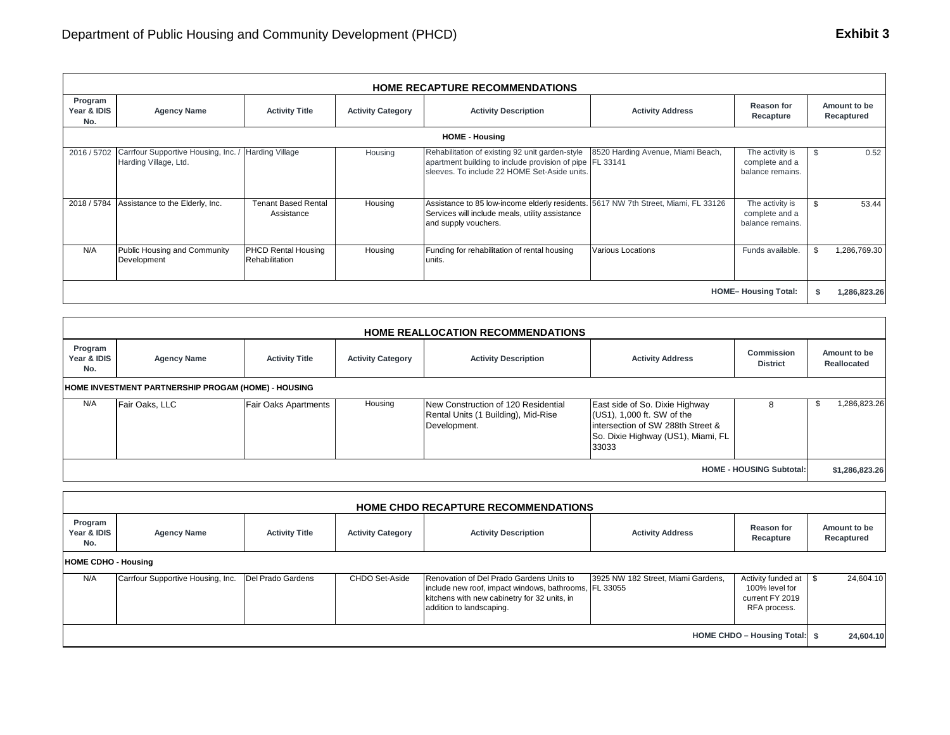|                               | <b>HOME RECAPTURE RECOMMENDATIONS</b>                                    |                                              |                          |                                                                                                                                                               |                                   |                                                       |                            |  |  |  |
|-------------------------------|--------------------------------------------------------------------------|----------------------------------------------|--------------------------|---------------------------------------------------------------------------------------------------------------------------------------------------------------|-----------------------------------|-------------------------------------------------------|----------------------------|--|--|--|
| Program<br>Year & IDIS<br>No. | <b>Agency Name</b>                                                       | <b>Activity Title</b>                        | <b>Activity Category</b> | <b>Activity Description</b>                                                                                                                                   | <b>Activity Address</b>           | <b>Reason for</b><br>Recapture                        | Amount to be<br>Recaptured |  |  |  |
|                               | <b>HOME - Housing</b>                                                    |                                              |                          |                                                                                                                                                               |                                   |                                                       |                            |  |  |  |
|                               | 2016 / 5702 Carrfour Supportive Housing, Inc. /<br>Harding Village, Ltd. | <b>Harding Village</b>                       | Housing                  | Rehabilitation of existing 92 unit garden-style<br>apartment building to include provision of pipe FL 33141<br>sleeves. To include 22 HOME Set-Aside units.   | 8520 Harding Avenue, Miami Beach, | The activity is<br>complete and a<br>balance remains. | 0.52                       |  |  |  |
| 2018 / 5784                   | Assistance to the Elderly, Inc.                                          | <b>Tenant Based Rental</b><br>Assistance     | Housing                  | Assistance to 85 low-income elderly residents. 5617 NW 7th Street, Miami, FL 33126<br>Services will include meals, utility assistance<br>and supply vouchers. |                                   | The activity is<br>complete and a<br>balance remains. | 53.44<br>\$                |  |  |  |
| N/A                           | Public Housing and Community<br>Development                              | <b>PHCD Rental Housing</b><br>Rehabilitation | Housing                  | Funding for rehabilitation of rental housing<br>units.                                                                                                        | <b>Various Locations</b>          | Funds available.                                      | 1,286,769.30               |  |  |  |
| <b>HOME-Housing Total:</b>    |                                                                          |                                              |                          |                                                                                                                                                               |                                   |                                                       |                            |  |  |  |

|                                 | <b>HOME REALLOCATION RECOMMENDATIONS</b>            |                             |                          |                                                                                            |                                                                                                                                                   |                                      |                             |  |  |  |  |
|---------------------------------|-----------------------------------------------------|-----------------------------|--------------------------|--------------------------------------------------------------------------------------------|---------------------------------------------------------------------------------------------------------------------------------------------------|--------------------------------------|-----------------------------|--|--|--|--|
| Program<br>Year & IDIS<br>No.   | <b>Agency Name</b>                                  | <b>Activity Title</b>       | <b>Activity Category</b> | <b>Activity Description</b>                                                                | <b>Activity Address</b>                                                                                                                           | <b>Commission</b><br><b>District</b> | Amount to be<br>Reallocated |  |  |  |  |
|                                 | HOME INVESTMENT PARTNERSHIP PROGAM (HOME) - HOUSING |                             |                          |                                                                                            |                                                                                                                                                   |                                      |                             |  |  |  |  |
| N/A                             | Fair Oaks, LLC                                      | <b>Fair Oaks Apartments</b> | Housing                  | New Construction of 120 Residential<br>Rental Units (1 Building), Mid-Rise<br>Development. | East side of So. Dixie Highway<br>(US1), 1,000 ft. SW of the<br>lintersection of SW 288th Street &<br>So. Dixie Highway (US1), Miami, FL<br>33033 | 8                                    | 1,286,823.26<br>ö.          |  |  |  |  |
| <b>HOME - HOUSING Subtotal:</b> |                                                     |                             |                          |                                                                                            |                                                                                                                                                   |                                      |                             |  |  |  |  |

| HOME CHDO RECAPTURE RECOMMENDATIONS |                                   |                       |                          |                                                                                                                                                                               |                                    |                                                                         |                            |  |  |
|-------------------------------------|-----------------------------------|-----------------------|--------------------------|-------------------------------------------------------------------------------------------------------------------------------------------------------------------------------|------------------------------------|-------------------------------------------------------------------------|----------------------------|--|--|
| Program<br>Year & IDIS<br>No.       | <b>Agency Name</b>                | <b>Activity Title</b> | <b>Activity Category</b> | <b>Activity Description</b>                                                                                                                                                   | <b>Activity Address</b>            | <b>Reason for</b><br>Recapture                                          | Amount to be<br>Recaptured |  |  |
| <b>HOME CDHO - Housing</b>          |                                   |                       |                          |                                                                                                                                                                               |                                    |                                                                         |                            |  |  |
| N/A                                 | Carrfour Supportive Housing, Inc. | Del Prado Gardens     | CHDO Set-Aside           | Renovation of Del Prado Gardens Units to<br>include new roof, impact windows, bathrooms, FL 33055<br>kitchens with new cabinetry for 32 units, in<br>addition to landscaping. | 3925 NW 182 Street, Miami Gardens, | Activity funded at<br>100% level for<br>current FY 2019<br>RFA process. | 24,604.10                  |  |  |
| HOME CHDO - Housing Total: \$       |                                   |                       |                          |                                                                                                                                                                               |                                    |                                                                         | 24,604.10                  |  |  |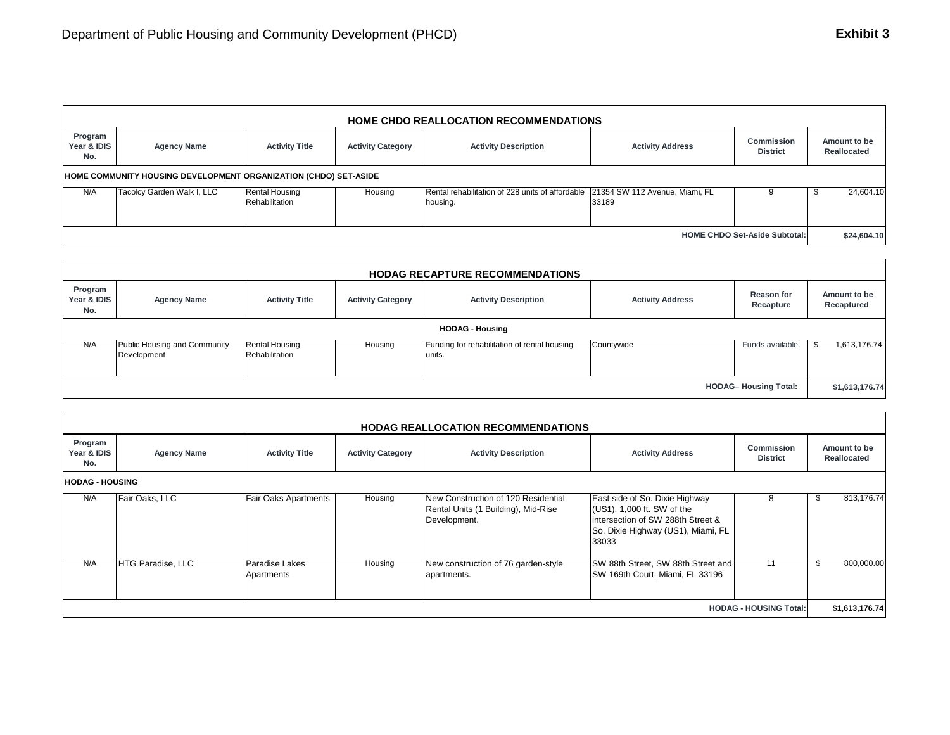|                                      | <b>HOME CHDO REALLOCATION RECOMMENDATIONS</b>                    |                                         |                          |                                                                                             |                         |                                      |                             |  |  |  |
|--------------------------------------|------------------------------------------------------------------|-----------------------------------------|--------------------------|---------------------------------------------------------------------------------------------|-------------------------|--------------------------------------|-----------------------------|--|--|--|
| Program<br>Year & IDIS<br>No.        | <b>Agency Name</b>                                               | <b>Activity Title</b>                   | <b>Activity Category</b> | <b>Activity Description</b>                                                                 | <b>Activity Address</b> | <b>Commission</b><br><b>District</b> | Amount to be<br>Reallocated |  |  |  |
|                                      | HOME COMMUNITY HOUSING DEVELOPMENT ORGANIZATION (CHDO) SET-ASIDE |                                         |                          |                                                                                             |                         |                                      |                             |  |  |  |
| N/A                                  | Tacolcy Garden Walk I, LLC                                       | <b>Rental Housing</b><br>Rehabilitation | Housing                  | Rental rehabilitation of 228 units of affordable 21354 SW 112 Avenue, Miami, FL<br>housing. | 33189                   |                                      | 24,604.10<br>ъ              |  |  |  |
| <b>HOME CHDO Set-Aside Subtotal:</b> |                                                                  |                                         |                          |                                                                                             |                         |                                      |                             |  |  |  |

| <b>HODAG RECAPTURE RECOMMENDATIONS</b> |                                             |                                         |                          |                                                        |                         |                                |                            |  |  |
|----------------------------------------|---------------------------------------------|-----------------------------------------|--------------------------|--------------------------------------------------------|-------------------------|--------------------------------|----------------------------|--|--|
| Program<br>Year & IDIS<br>No.          | <b>Agency Name</b>                          | <b>Activity Title</b>                   | <b>Activity Category</b> | <b>Activity Description</b>                            | <b>Activity Address</b> | <b>Reason for</b><br>Recapture | Amount to be<br>Recaptured |  |  |
| <b>HODAG - Housing</b>                 |                                             |                                         |                          |                                                        |                         |                                |                            |  |  |
| N/A                                    | Public Housing and Community<br>Development | <b>Rental Housing</b><br>Rehabilitation | Housing                  | Funding for rehabilitation of rental housing<br>units. | Countywide              | Funds available.               | 1,613,176.74               |  |  |
| <b>HODAG-Housing Total:</b>            |                                             |                                         |                          |                                                        |                         |                                | \$1,613,176.74             |  |  |

| <b>HODAG REALLOCATION RECOMMENDATIONS</b> |                        |                              |                          |                                                                                            |                                                                                                                                                  |                               |                             |                |  |  |
|-------------------------------------------|------------------------|------------------------------|--------------------------|--------------------------------------------------------------------------------------------|--------------------------------------------------------------------------------------------------------------------------------------------------|-------------------------------|-----------------------------|----------------|--|--|
| Program<br>Year & IDIS<br>No.             | <b>Agency Name</b>     | <b>Activity Title</b>        | <b>Activity Category</b> | <b>Activity Description</b>                                                                | <b>Activity Address</b>                                                                                                                          | Commission<br><b>District</b> | Amount to be<br>Reallocated |                |  |  |
|                                           | <b>HODAG - HOUSING</b> |                              |                          |                                                                                            |                                                                                                                                                  |                               |                             |                |  |  |
| N/A                                       | Fair Oaks, LLC         | <b>Fair Oaks Apartments</b>  | Housing                  | New Construction of 120 Residential<br>Rental Units (1 Building), Mid-Rise<br>Development. | East side of So. Dixie Highway<br>(US1), 1,000 ft. SW of the<br>intersection of SW 288th Street &<br>So. Dixie Highway (US1), Miami, FL<br>33033 | 8                             | \$                          | 813,176.74     |  |  |
| N/A                                       | HTG Paradise, LLC      | Paradise Lakes<br>Apartments | Housing                  | New construction of 76 garden-style<br>apartments.                                         | SW 88th Street, SW 88th Street and<br>SW 169th Court, Miami, FL 33196                                                                            | 11                            | \$                          | 800,000.00     |  |  |
| <b>HODAG - HOUSING Total:</b>             |                        |                              |                          |                                                                                            |                                                                                                                                                  |                               |                             | \$1,613,176.74 |  |  |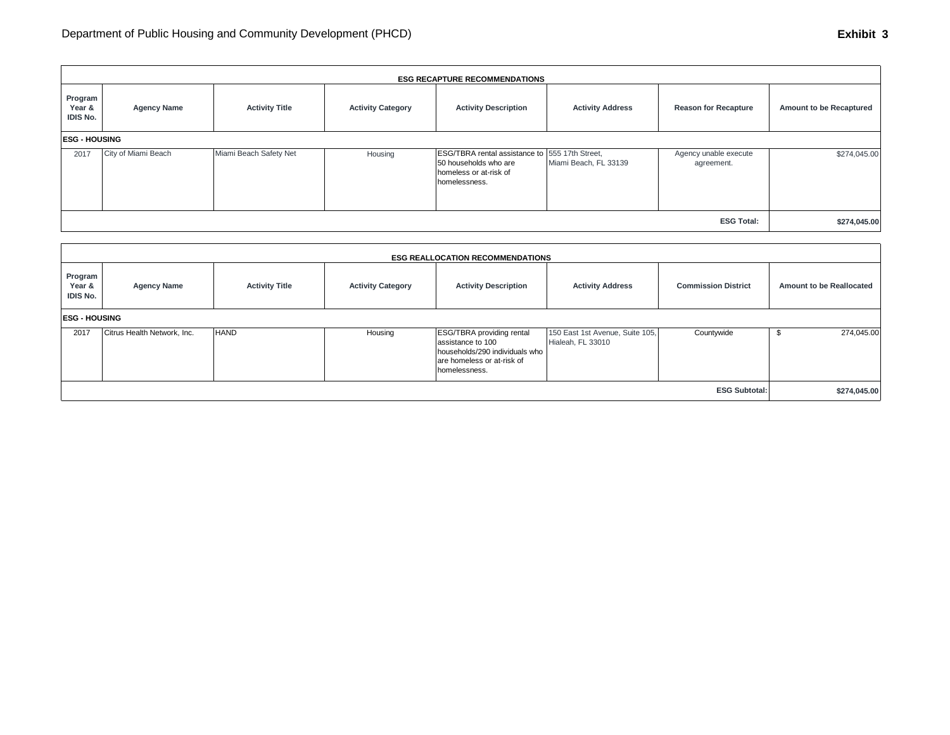|                                      | <b>ESG RECAPTURE RECOMMENDATIONS</b> |                        |                          |                                                                                                                    |                         |                                     |                         |  |  |  |
|--------------------------------------|--------------------------------------|------------------------|--------------------------|--------------------------------------------------------------------------------------------------------------------|-------------------------|-------------------------------------|-------------------------|--|--|--|
| Program<br>Year &<br><b>IDIS No.</b> | <b>Agency Name</b>                   | <b>Activity Title</b>  | <b>Activity Category</b> | <b>Activity Description</b>                                                                                        | <b>Activity Address</b> | <b>Reason for Recapture</b>         | Amount to be Recaptured |  |  |  |
|                                      | <b>ESG - HOUSING</b>                 |                        |                          |                                                                                                                    |                         |                                     |                         |  |  |  |
| 2017                                 | City of Miami Beach                  | Miami Beach Safety Net | Housing                  | ESG/TBRA rental assistance to 555 17th Street,<br>50 households who are<br>homeless or at-risk of<br>homelessness. | Miami Beach, FL 33139   | Agency unable execute<br>agreement. | \$274,045.00            |  |  |  |
| <b>ESG Total:</b>                    |                                      |                        |                          |                                                                                                                    |                         |                                     | \$274,045.00            |  |  |  |

|                                      | <b>ESG REALLOCATION RECOMMENDATIONS</b> |                       |                          |                                                                                                                                        |                                                      |                            |                                 |  |  |  |  |
|--------------------------------------|-----------------------------------------|-----------------------|--------------------------|----------------------------------------------------------------------------------------------------------------------------------------|------------------------------------------------------|----------------------------|---------------------------------|--|--|--|--|
| Program<br>Year &<br><b>IDIS No.</b> | <b>Agency Name</b>                      | <b>Activity Title</b> | <b>Activity Category</b> | <b>Activity Description</b>                                                                                                            | <b>Activity Address</b>                              | <b>Commission District</b> | <b>Amount to be Reallocated</b> |  |  |  |  |
| <b>ESG - HOUSING</b>                 |                                         |                       |                          |                                                                                                                                        |                                                      |                            |                                 |  |  |  |  |
| 2017                                 | Citrus Health Network, Inc.             | <b>HAND</b>           | Housing                  | <b>ESG/TBRA</b> providing rental<br>assistance to 100<br>households/290 individuals who<br>are homeless or at-risk of<br>homelessness. | 150 East 1st Avenue, Suite 105,<br>Hialeah, FL 33010 | Countywide                 | 274,045.00                      |  |  |  |  |
| <b>ESG Subtotal:</b>                 |                                         |                       |                          |                                                                                                                                        |                                                      |                            | \$274,045.00                    |  |  |  |  |